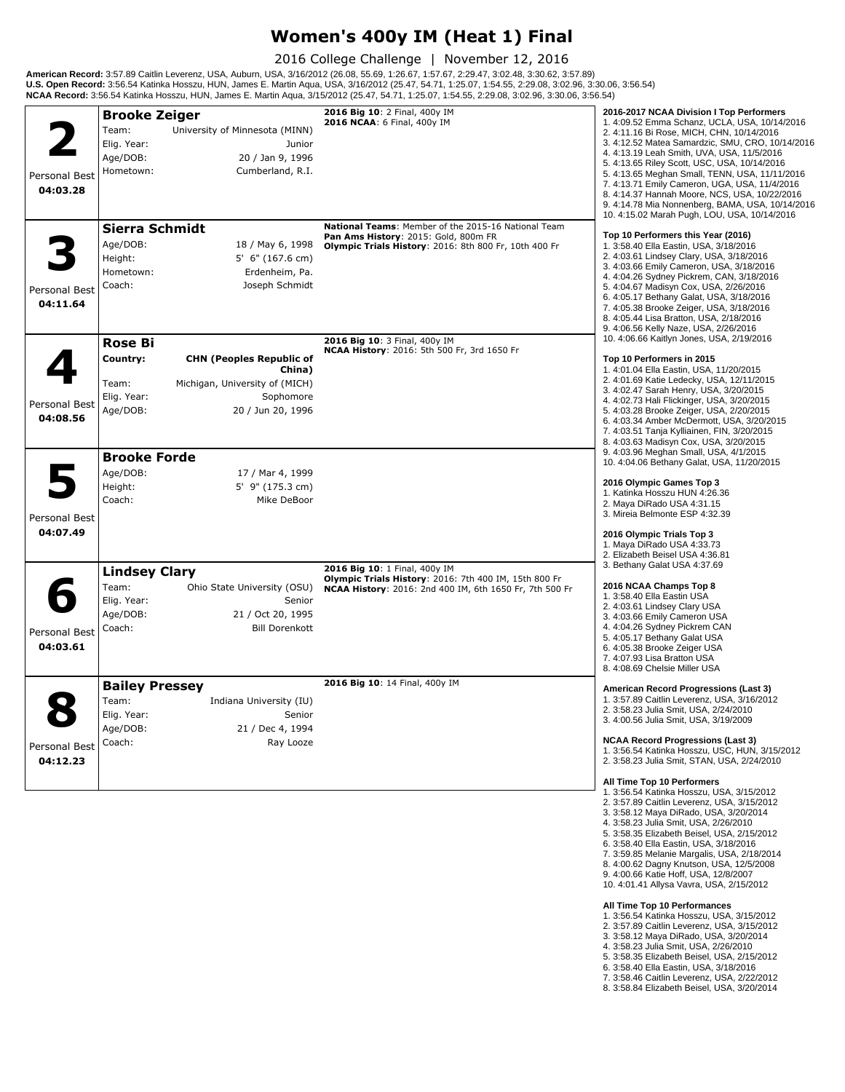## **Women's 400y IM (Heat 1) Final**

2016 College Challenge | November 12, 2016

**American Record:** 3:57.89 Caitlin Leverenz, USA, Auburn, USA, 3/16/2012 (26.08, 55.69, 1:26.67, 1:57.67, 2:29.47, 3:02.48, 3:30.62, 3:57.89)<br>**U.S. Open Record:** 3:56.54 Katinka Hosszu, HUN, James E. Martin Aqua, USA, 3/16

|                           | <b>Brooke Zeiger</b>                                         |                                                                                                               | 2016 Big 10: 2 Final, 400y IM                                                                                                                        | 2016-2017 NCAA Division I Top Performers                                                                                                                                                                                                                                                                                                                                                                                                                                                            |
|---------------------------|--------------------------------------------------------------|---------------------------------------------------------------------------------------------------------------|------------------------------------------------------------------------------------------------------------------------------------------------------|-----------------------------------------------------------------------------------------------------------------------------------------------------------------------------------------------------------------------------------------------------------------------------------------------------------------------------------------------------------------------------------------------------------------------------------------------------------------------------------------------------|
| Personal Best<br>04:03.28 | Team:<br>Elig. Year:<br>Age/DOB:<br>Hometown:                | University of Minnesota (MINN)<br>Junior<br>20 / Jan 9, 1996<br>Cumberland, R.I.                              | 2016 NCAA: 6 Final, 400y IM                                                                                                                          | 1. 4:09.52 Emma Schanz, UCLA, USA, 10/14/2016<br>2. 4:11.16 Bi Rose, MICH, CHN, 10/14/2016<br>3. 4:12.52 Matea Samardzic, SMU, CRO, 10/14/2016<br>4.4:13.19 Leah Smith, UVA, USA, 11/5/2016<br>5. 4:13.65 Riley Scott, USC, USA, 10/14/2016<br>5. 4:13.65 Meghan Small, TENN, USA, 11/11/2016<br>7. 4:13.71 Emily Cameron, UGA, USA, 11/4/2016<br>8. 4:14.37 Hannah Moore, NCS, USA, 10/22/2016<br>9. 4:14.78 Mia Nonnenberg, BAMA, USA, 10/14/2016<br>10. 4:15.02 Marah Pugh, LOU, USA, 10/14/2016 |
| Personal Best<br>04:11.64 | Sierra Schmidt<br>Age/DOB:<br>Height:<br>Hometown:<br>Coach: | 18 / May 6, 1998<br>$5'$ 6" (167.6 cm)<br>Erdenheim, Pa.<br>Joseph Schmidt                                    | National Teams: Member of the 2015-16 National Team<br>Pan Ams History: 2015: Gold, 800m FR<br>Olympic Trials History: 2016: 8th 800 Fr, 10th 400 Fr | Top 10 Performers this Year (2016)<br>1. 3:58.40 Ella Eastin, USA, 3/18/2016<br>2. 4:03.61 Lindsey Clary, USA, 3/18/2016<br>3. 4:03.66 Emily Cameron, USA, 3/18/2016<br>4. 4:04.26 Sydney Pickrem, CAN, 3/18/2016<br>5. 4:04.67 Madisyn Cox, USA, 2/26/2016<br>6. 4:05.17 Bethany Galat, USA, 3/18/2016<br>7. 4:05.38 Brooke Zeiger, USA, 3/18/2016<br>8. 4:05.44 Lisa Bratton, USA, 2/18/2016<br>9. 4:06.56 Kelly Naze, USA, 2/26/2016                                                             |
|                           | <b>Rose Bi</b>                                               |                                                                                                               | 2016 Big 10: 3 Final, 400y IM<br>NCAA History: 2016: 5th 500 Fr, 3rd 1650 Fr                                                                         | 10. 4:06.66 Kaitlyn Jones, USA, 2/19/2016                                                                                                                                                                                                                                                                                                                                                                                                                                                           |
| Personal Best<br>04:08.56 | Country:<br>Team:<br>Elig. Year:<br>Age/DOB:                 | <b>CHN (Peoples Republic of</b><br>China)<br>Michigan, University of (MICH)<br>Sophomore<br>20 / Jun 20, 1996 |                                                                                                                                                      | Top 10 Performers in 2015<br>1.4:01.04 Ella Eastin, USA, 11/20/2015<br>2. 4:01.69 Katie Ledecky, USA, 12/11/2015<br>3. 4:02.47 Sarah Henry, USA, 3/20/2015<br>4. 4:02.73 Hali Flickinger, USA, 3/20/2015<br>5. 4:03.28 Brooke Zeiger, USA, 2/20/2015<br>6. 4:03.34 Amber McDermott, USA, 3/20/2015<br>7. 4:03.51 Tanja Kylliainen, FIN, 3/20/2015<br>8. 4:03.63 Madisyn Cox, USA, 3/20/2015                                                                                                         |
|                           | <b>Brooke Forde</b>                                          |                                                                                                               |                                                                                                                                                      | 9. 4:03.96 Meghan Small, USA, 4/1/2015<br>10. 4:04.06 Bethany Galat, USA, 11/20/2015                                                                                                                                                                                                                                                                                                                                                                                                                |
|                           | Age/DOB:<br>Height:<br>Coach:                                | 17 / Mar 4, 1999<br>5' 9" (175.3 cm)<br>Mike DeBoor                                                           |                                                                                                                                                      | 2016 Olympic Games Top 3<br>1. Katinka Hosszu HUN 4:26.36<br>2. Maya DiRado USA 4:31.15<br>3. Mireia Belmonte ESP 4:32.39                                                                                                                                                                                                                                                                                                                                                                           |
| Personal Best<br>04:07.49 |                                                              |                                                                                                               |                                                                                                                                                      | 2016 Olympic Trials Top 3<br>1. Maya DiRado USA 4:33.73<br>2. Elizabeth Beisel USA 4:36.81                                                                                                                                                                                                                                                                                                                                                                                                          |
|                           | <b>Lindsey Clary</b>                                         |                                                                                                               | 2016 Big 10: 1 Final, 400y IM                                                                                                                        | 3. Bethany Galat USA 4:37.69                                                                                                                                                                                                                                                                                                                                                                                                                                                                        |
| Personal Best<br>04:03.61 | Team:<br>Elig. Year:<br>Age/DOB:<br>Coach:                   | Ohio State University (OSU)<br>Senior<br>21 / Oct 20, 1995<br><b>Bill Dorenkott</b>                           | Olympic Trials History: 2016: 7th 400 IM, 15th 800 Fr<br>NCAA History: 2016: 2nd 400 IM, 6th 1650 Fr, 7th 500 Fr                                     | 2016 NCAA Champs Top 8<br>1.3:58.40 Ella Eastin USA<br>2. 4:03.61 Lindsey Clary USA<br>3.4:03.66 Emily Cameron USA<br>4. 4:04.26 Sydney Pickrem CAN<br>5. 4:05.17 Bethany Galat USA<br>6. 4:05.38 Brooke Zeiger USA<br>7. 4:07.93 Lisa Bratton USA<br>8. 4:08.69 Chelsie Miller USA                                                                                                                                                                                                                 |
|                           | <b>Bailey Pressey</b>                                        |                                                                                                               | 2016 Big 10: 14 Final, 400y IM                                                                                                                       | American Record Progressions (Last 3)                                                                                                                                                                                                                                                                                                                                                                                                                                                               |
| Personal Best             | Team:<br>Elig. Year:<br>Age/DOB:<br>Coach:                   | Indiana University (IU)<br>Senior<br>21 / Dec 4, 1994<br>Ray Looze                                            |                                                                                                                                                      | 1. 3:57.89 Caitlin Leverenz, USA, 3/16/2012<br>2. 3:58.23 Julia Smit, USA, 2/24/2010<br>3. 4:00.56 Julia Smit, USA, 3/19/2009<br><b>NCAA Record Progressions (Last 3)</b><br>1. 3:56.54 Katinka Hosszu, USC, HUN, 3/15/2012                                                                                                                                                                                                                                                                         |
| 04:12.23                  |                                                              |                                                                                                               |                                                                                                                                                      | 2. 3:58.23 Julia Smit, STAN, USA, 2/24/2010<br>All Time Top 10 Performers<br>1. 3:56.54 Katinka Hosszu, USA, 3/15/2012<br>2. 3:57.89 Caitlin Leverenz, USA, 3/15/2012<br>3. 3:58.12 Maya DiRado, USA, 3/20/2014<br>4. 3:58.23 Julia Smit, USA, 2/26/2010<br>5. 3:58.35 Elizabeth Beisel, USA, 2/15/2012<br>6. 3:58.40 Ella Eastin, USA, 3/18/2016<br>7. 3:59.85 Melanie Margalis, USA, 2/18/2014<br>8. 4:00.62 Dagny Knutson, USA, 12/5/2008<br>9. 4:00.66 Katie Hoff, USA, 12/8/2007               |

- **All Time Top 10 Performances**
- 
- 1. 3:56.54 Katinka Hosszu, USA, 3/15/2012 2. 3:57.89 Caitlin Leverenz, USA, 3/15/2012 3. 3:58.12 Maya DiRado, USA, 3/20/2014
- 
- 4. 3:58.23 Julia Smit, USA, 2/26/2010
- 
- 
- 5. 3:58.35 Elizabeth Beisel, USA, 2/15/2012<br>6. 3:58.40 Ella Eastin, USA, 3/18/2016<br>7. 3:58.46 Caitlin Leverenz, USA, 2/22/2012<br>8. 3:58.84 Elizabeth Beisel, USA, 3/20/2014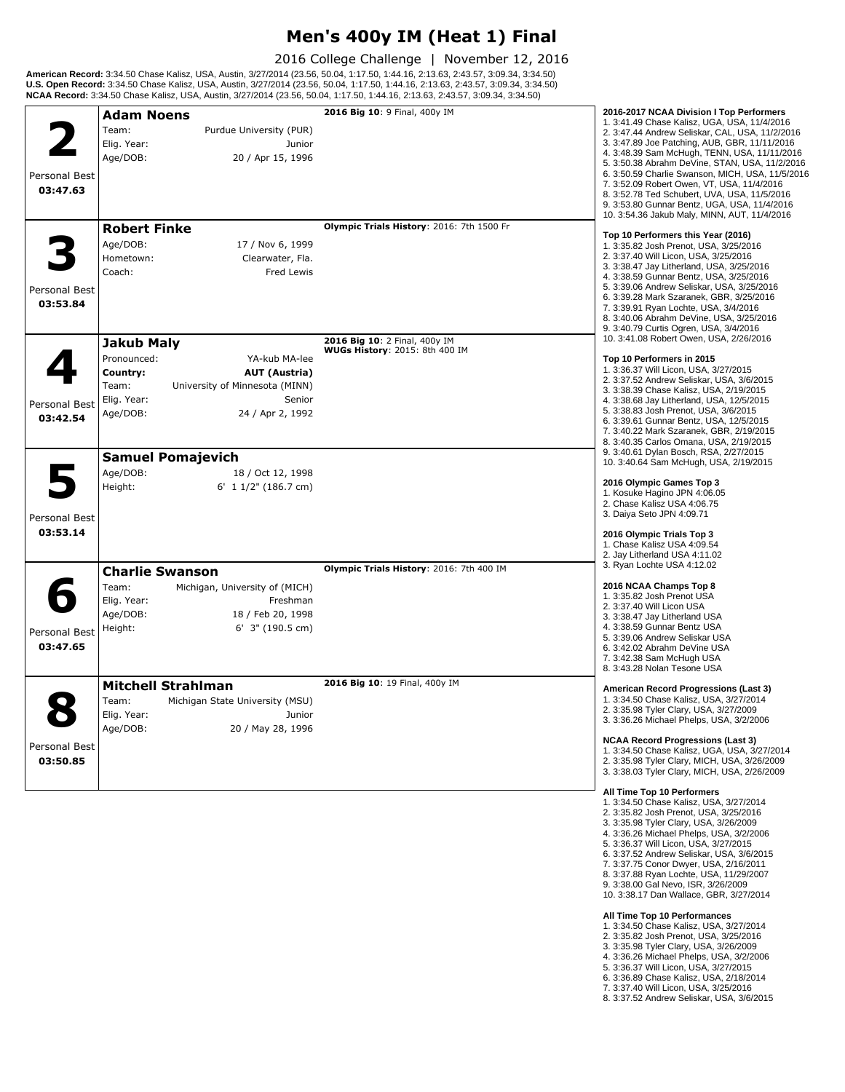## **Men's 400y IM (Heat 1) Final**

2016 College Challenge | November 12, 2016

**American Record:** 3:34.50 Chase Kalisz, USA, Austin, 3/27/2014 (23.56, 50.04, 1:17.50, 1:44.16, 2:13.63, 2:43.57, 3:09.34, 3:34.50)<br>**U.S. Open Record:** 3:34.50 Chase Kalisz, USA, Austin, 3/27/2014 (23.56, 50.04, 1:17.50,

| Team:<br>Purdue University (PUR)<br>2. 3:47.44 Andrew Seliskar, CAL, USA, 11/2/2016<br>3. 3:47.89 Joe Patching, AUB, GBR, 11/11/2016<br>Elig. Year:<br>Junior<br>4. 3:48.39 Sam McHugh, TENN, USA, 11/11/2016<br>Age/DOB:<br>20 / Apr 15, 1996<br>5. 3:50.38 Abrahm DeVine, STAN, USA, 11/2/2016<br>6. 3:50.59 Charlie Swanson, MICH, USA, 11/5/2016<br>Personal Best<br>7. 3:52.09 Robert Owen, VT, USA, 11/4/2016<br>03:47.63<br>8. 3:52.78 Ted Schubert, UVA, USA, 11/5/2016<br>9. 3:53.80 Gunnar Bentz, UGA, USA, 11/4/2016<br>10. 3:54.36 Jakub Maly, MINN, AUT, 11/4/2016<br>Olympic Trials History: 2016: 7th 1500 Fr<br><b>Robert Finke</b><br>Top 10 Performers this Year (2016)<br>Age/DOB:<br>17 / Nov 6, 1999<br>1. 3:35.82 Josh Prenot, USA, 3/25/2016<br>2. 3:37.40 Will Licon, USA, 3/25/2016<br>Hometown:<br>Clearwater, Fla.<br>3. 3:38.47 Jay Litherland, USA, 3/25/2016<br>Coach:<br><b>Fred Lewis</b><br>4. 3:38.59 Gunnar Bentz, USA, 3/25/2016<br>5. 3:39.06 Andrew Seliskar, USA, 3/25/2016<br>Personal Best<br>6. 3:39.28 Mark Szaranek, GBR, 3/25/2016<br>03:53.84<br>7. 3:39.91 Ryan Lochte, USA, 3/4/2016<br>8. 3:40.06 Abrahm DeVine, USA, 3/25/2016<br>9. 3.40.79 Curtis Ogren, USA, 3/4/2016<br>10. 3:41.08 Robert Owen, USA, 2/26/2016<br>2016 Big 10: 2 Final, 400y IM<br><b>Jakub Maly</b><br><b>WUGs History</b> : 2015: 8th 400 IM<br>Pronounced:<br>YA-kub MA-lee<br>Top 10 Performers in 2015<br>1. 3:36.37 Will Licon, USA, 3/27/2015<br>Country:<br><b>AUT (Austria)</b><br>2. 3:37.52 Andrew Seliskar, USA, 3/6/2015<br>Team:<br>University of Minnesota (MINN)<br>3. 3:38.39 Chase Kalisz, USA, 2/19/2015<br>Elig. Year:<br>Senior<br>4. 3:38.68 Jay Litherland, USA, 12/5/2015<br>Personal Best<br>5. 3:38.83 Josh Prenot, USA, 3/6/2015<br>Age/DOB:<br>24 / Apr 2, 1992<br>03:42.54<br>6. 3:39.61 Gunnar Bentz, USA, 12/5/2015<br>7. 3:40.22 Mark Szaranek, GBR, 2/19/2015<br>8. 3:40.35 Carlos Omana, USA, 2/19/2015<br>9. 3:40.61 Dylan Bosch, RSA, 2/27/2015<br><b>Samuel Pomajevich</b><br>10. 3:40.64 Sam McHugh, USA, 2/19/2015<br>Age/DOB:<br>18 / Oct 12, 1998<br>2016 Olympic Games Top 3<br>Height:<br>6' $11/2$ " (186.7 cm)<br>1. Kosuke Hagino JPN 4:06.05<br>2. Chase Kalisz USA 4:06.75<br>3. Daiya Seto JPN 4:09.71<br>Personal Best<br>03:53.14<br>2016 Olympic Trials Top 3<br>1. Chase Kalisz USA 4:09.54<br>2. Jay Litherland USA 4:11.02<br>3. Ryan Lochte USA 4:12.02<br>Olympic Trials History: 2016: 7th 400 IM<br><b>Charlie Swanson</b><br>2016 NCAA Champs Top 8<br>Team:<br>Michigan, University of (MICH)<br>1. 3:35.82 Josh Prenot USA<br>Elig. Year:<br>Freshman<br>2. 3:37.40 Will Licon USA<br>Age/DOB:<br>18 / Feb 20, 1998<br>3. 3:38.47 Jay Litherland USA<br>4. 3:38.59 Gunnar Bentz USA<br>Height:<br>6' 3" (190.5 cm)<br>Personal Best<br>5. 3:39.06 Andrew Seliskar USA<br>03:47.65<br>6. 3:42.02 Abrahm DeVine USA<br>7. 3:42.38 Sam McHugh USA<br>8. 3:43.28 Nolan Tesone USA<br>2016 Big 10: 19 Final, 400y IM<br><b>Mitchell Strahlman</b><br>American Record Progressions (Last 3)<br>1. 3:34.50 Chase Kalisz, USA, 3/27/2014<br>Team:<br>Michigan State University (MSU)<br>2. 3:35.98 Tyler Clary, USA, 3/27/2009<br>Elig. Year:<br>Junior<br>3. 3:36.26 Michael Phelps, USA, 3/2/2006<br>Age/DOB:<br>20 / May 28, 1996<br><b>NCAA Record Progressions (Last 3)</b><br>Personal Best<br>1. 3:34.50 Chase Kalisz, UGA, USA, 3/27/2014<br>03:50.85<br>2. 3:35.98 Tyler Clary, MICH, USA, 3/26/2009<br>3. 3:38.03 Tyler Clary, MICH, USA, 2/26/2009<br>All Time Top 10 Performers<br>1. 3:34.50 Chase Kalisz, USA, 3/27/2014<br>2. 3:35.82 Josh Prenot, USA, 3/25/2016<br>3. 3:35.98 Tyler Clary, USA, 3/26/2009<br>4. 3:36.26 Michael Phelps, USA, 3/2/2006<br>5. 3:36.37 Will Licon, USA, 3/27/2015<br>6. 3:37.52 Andrew Seliskar, USA, 3/6/2015<br>7. 3:37.75 Conor Dwyer, USA, 2/16/2011<br>8. 3:37.88 Ryan Lochte, USA, 11/29/2007<br>9. 3:38.00 Gal Nevo, ISR, 3/26/2009<br>10. 3:38.17 Dan Wallace, GBR, 3/27/2014 | All Time Top 10 Performances<br>1. 3:34.50 Chase Kalisz, USA, 3/27/2014 | <b>Adam Noens</b> | 2016 Big 10: 9 Final, 400y IM | 2016-2017 NCAA Division I Top Performers<br>1, 3:41.49 Chase Kalisz, UGA, USA, 11/4/2016 |
|------------------------------------------------------------------------------------------------------------------------------------------------------------------------------------------------------------------------------------------------------------------------------------------------------------------------------------------------------------------------------------------------------------------------------------------------------------------------------------------------------------------------------------------------------------------------------------------------------------------------------------------------------------------------------------------------------------------------------------------------------------------------------------------------------------------------------------------------------------------------------------------------------------------------------------------------------------------------------------------------------------------------------------------------------------------------------------------------------------------------------------------------------------------------------------------------------------------------------------------------------------------------------------------------------------------------------------------------------------------------------------------------------------------------------------------------------------------------------------------------------------------------------------------------------------------------------------------------------------------------------------------------------------------------------------------------------------------------------------------------------------------------------------------------------------------------------------------------------------------------------------------------------------------------------------------------------------------------------------------------------------------------------------------------------------------------------------------------------------------------------------------------------------------------------------------------------------------------------------------------------------------------------------------------------------------------------------------------------------------------------------------------------------------------------------------------------------------------------------------------------------------------------------------------------------------------------------------------------------------------------------------------------------------------------------------------------------------------------------------------------------------------------------------------------------------------------------------------------------------------------------------------------------------------------------------------------------------------------------------------------------------------------------------------------------------------------------------------------------------------------------------------------------------------------------------------------------------------------------------------------------------------------------------------------------------------------------------------------------------------------------------------------------------------------------------------------------------------------------------------------------------------------------------------------------------------------------------------------------------------------------------------------------------------------------------------------------------------------------------------------------------------------------------------------------------------------------------------------------------------------------------------------------------------------------------------------------------------------------------------------------------|-------------------------------------------------------------------------|-------------------|-------------------------------|------------------------------------------------------------------------------------------|
|                                                                                                                                                                                                                                                                                                                                                                                                                                                                                                                                                                                                                                                                                                                                                                                                                                                                                                                                                                                                                                                                                                                                                                                                                                                                                                                                                                                                                                                                                                                                                                                                                                                                                                                                                                                                                                                                                                                                                                                                                                                                                                                                                                                                                                                                                                                                                                                                                                                                                                                                                                                                                                                                                                                                                                                                                                                                                                                                                                                                                                                                                                                                                                                                                                                                                                                                                                                                                                                                                                                                                                                                                                                                                                                                                                                                                                                                                                                                                                                                                  |                                                                         |                   |                               |                                                                                          |
|                                                                                                                                                                                                                                                                                                                                                                                                                                                                                                                                                                                                                                                                                                                                                                                                                                                                                                                                                                                                                                                                                                                                                                                                                                                                                                                                                                                                                                                                                                                                                                                                                                                                                                                                                                                                                                                                                                                                                                                                                                                                                                                                                                                                                                                                                                                                                                                                                                                                                                                                                                                                                                                                                                                                                                                                                                                                                                                                                                                                                                                                                                                                                                                                                                                                                                                                                                                                                                                                                                                                                                                                                                                                                                                                                                                                                                                                                                                                                                                                                  |                                                                         |                   |                               |                                                                                          |
|                                                                                                                                                                                                                                                                                                                                                                                                                                                                                                                                                                                                                                                                                                                                                                                                                                                                                                                                                                                                                                                                                                                                                                                                                                                                                                                                                                                                                                                                                                                                                                                                                                                                                                                                                                                                                                                                                                                                                                                                                                                                                                                                                                                                                                                                                                                                                                                                                                                                                                                                                                                                                                                                                                                                                                                                                                                                                                                                                                                                                                                                                                                                                                                                                                                                                                                                                                                                                                                                                                                                                                                                                                                                                                                                                                                                                                                                                                                                                                                                                  |                                                                         |                   |                               |                                                                                          |
|                                                                                                                                                                                                                                                                                                                                                                                                                                                                                                                                                                                                                                                                                                                                                                                                                                                                                                                                                                                                                                                                                                                                                                                                                                                                                                                                                                                                                                                                                                                                                                                                                                                                                                                                                                                                                                                                                                                                                                                                                                                                                                                                                                                                                                                                                                                                                                                                                                                                                                                                                                                                                                                                                                                                                                                                                                                                                                                                                                                                                                                                                                                                                                                                                                                                                                                                                                                                                                                                                                                                                                                                                                                                                                                                                                                                                                                                                                                                                                                                                  |                                                                         |                   |                               |                                                                                          |
|                                                                                                                                                                                                                                                                                                                                                                                                                                                                                                                                                                                                                                                                                                                                                                                                                                                                                                                                                                                                                                                                                                                                                                                                                                                                                                                                                                                                                                                                                                                                                                                                                                                                                                                                                                                                                                                                                                                                                                                                                                                                                                                                                                                                                                                                                                                                                                                                                                                                                                                                                                                                                                                                                                                                                                                                                                                                                                                                                                                                                                                                                                                                                                                                                                                                                                                                                                                                                                                                                                                                                                                                                                                                                                                                                                                                                                                                                                                                                                                                                  |                                                                         |                   |                               |                                                                                          |
|                                                                                                                                                                                                                                                                                                                                                                                                                                                                                                                                                                                                                                                                                                                                                                                                                                                                                                                                                                                                                                                                                                                                                                                                                                                                                                                                                                                                                                                                                                                                                                                                                                                                                                                                                                                                                                                                                                                                                                                                                                                                                                                                                                                                                                                                                                                                                                                                                                                                                                                                                                                                                                                                                                                                                                                                                                                                                                                                                                                                                                                                                                                                                                                                                                                                                                                                                                                                                                                                                                                                                                                                                                                                                                                                                                                                                                                                                                                                                                                                                  |                                                                         |                   |                               |                                                                                          |
|                                                                                                                                                                                                                                                                                                                                                                                                                                                                                                                                                                                                                                                                                                                                                                                                                                                                                                                                                                                                                                                                                                                                                                                                                                                                                                                                                                                                                                                                                                                                                                                                                                                                                                                                                                                                                                                                                                                                                                                                                                                                                                                                                                                                                                                                                                                                                                                                                                                                                                                                                                                                                                                                                                                                                                                                                                                                                                                                                                                                                                                                                                                                                                                                                                                                                                                                                                                                                                                                                                                                                                                                                                                                                                                                                                                                                                                                                                                                                                                                                  |                                                                         |                   |                               |                                                                                          |
|                                                                                                                                                                                                                                                                                                                                                                                                                                                                                                                                                                                                                                                                                                                                                                                                                                                                                                                                                                                                                                                                                                                                                                                                                                                                                                                                                                                                                                                                                                                                                                                                                                                                                                                                                                                                                                                                                                                                                                                                                                                                                                                                                                                                                                                                                                                                                                                                                                                                                                                                                                                                                                                                                                                                                                                                                                                                                                                                                                                                                                                                                                                                                                                                                                                                                                                                                                                                                                                                                                                                                                                                                                                                                                                                                                                                                                                                                                                                                                                                                  |                                                                         |                   |                               |                                                                                          |
|                                                                                                                                                                                                                                                                                                                                                                                                                                                                                                                                                                                                                                                                                                                                                                                                                                                                                                                                                                                                                                                                                                                                                                                                                                                                                                                                                                                                                                                                                                                                                                                                                                                                                                                                                                                                                                                                                                                                                                                                                                                                                                                                                                                                                                                                                                                                                                                                                                                                                                                                                                                                                                                                                                                                                                                                                                                                                                                                                                                                                                                                                                                                                                                                                                                                                                                                                                                                                                                                                                                                                                                                                                                                                                                                                                                                                                                                                                                                                                                                                  |                                                                         |                   |                               |                                                                                          |
|                                                                                                                                                                                                                                                                                                                                                                                                                                                                                                                                                                                                                                                                                                                                                                                                                                                                                                                                                                                                                                                                                                                                                                                                                                                                                                                                                                                                                                                                                                                                                                                                                                                                                                                                                                                                                                                                                                                                                                                                                                                                                                                                                                                                                                                                                                                                                                                                                                                                                                                                                                                                                                                                                                                                                                                                                                                                                                                                                                                                                                                                                                                                                                                                                                                                                                                                                                                                                                                                                                                                                                                                                                                                                                                                                                                                                                                                                                                                                                                                                  |                                                                         |                   |                               |                                                                                          |
|                                                                                                                                                                                                                                                                                                                                                                                                                                                                                                                                                                                                                                                                                                                                                                                                                                                                                                                                                                                                                                                                                                                                                                                                                                                                                                                                                                                                                                                                                                                                                                                                                                                                                                                                                                                                                                                                                                                                                                                                                                                                                                                                                                                                                                                                                                                                                                                                                                                                                                                                                                                                                                                                                                                                                                                                                                                                                                                                                                                                                                                                                                                                                                                                                                                                                                                                                                                                                                                                                                                                                                                                                                                                                                                                                                                                                                                                                                                                                                                                                  |                                                                         |                   |                               |                                                                                          |
|                                                                                                                                                                                                                                                                                                                                                                                                                                                                                                                                                                                                                                                                                                                                                                                                                                                                                                                                                                                                                                                                                                                                                                                                                                                                                                                                                                                                                                                                                                                                                                                                                                                                                                                                                                                                                                                                                                                                                                                                                                                                                                                                                                                                                                                                                                                                                                                                                                                                                                                                                                                                                                                                                                                                                                                                                                                                                                                                                                                                                                                                                                                                                                                                                                                                                                                                                                                                                                                                                                                                                                                                                                                                                                                                                                                                                                                                                                                                                                                                                  |                                                                         |                   |                               |                                                                                          |
|                                                                                                                                                                                                                                                                                                                                                                                                                                                                                                                                                                                                                                                                                                                                                                                                                                                                                                                                                                                                                                                                                                                                                                                                                                                                                                                                                                                                                                                                                                                                                                                                                                                                                                                                                                                                                                                                                                                                                                                                                                                                                                                                                                                                                                                                                                                                                                                                                                                                                                                                                                                                                                                                                                                                                                                                                                                                                                                                                                                                                                                                                                                                                                                                                                                                                                                                                                                                                                                                                                                                                                                                                                                                                                                                                                                                                                                                                                                                                                                                                  |                                                                         |                   |                               |                                                                                          |
|                                                                                                                                                                                                                                                                                                                                                                                                                                                                                                                                                                                                                                                                                                                                                                                                                                                                                                                                                                                                                                                                                                                                                                                                                                                                                                                                                                                                                                                                                                                                                                                                                                                                                                                                                                                                                                                                                                                                                                                                                                                                                                                                                                                                                                                                                                                                                                                                                                                                                                                                                                                                                                                                                                                                                                                                                                                                                                                                                                                                                                                                                                                                                                                                                                                                                                                                                                                                                                                                                                                                                                                                                                                                                                                                                                                                                                                                                                                                                                                                                  |                                                                         |                   |                               |                                                                                          |
|                                                                                                                                                                                                                                                                                                                                                                                                                                                                                                                                                                                                                                                                                                                                                                                                                                                                                                                                                                                                                                                                                                                                                                                                                                                                                                                                                                                                                                                                                                                                                                                                                                                                                                                                                                                                                                                                                                                                                                                                                                                                                                                                                                                                                                                                                                                                                                                                                                                                                                                                                                                                                                                                                                                                                                                                                                                                                                                                                                                                                                                                                                                                                                                                                                                                                                                                                                                                                                                                                                                                                                                                                                                                                                                                                                                                                                                                                                                                                                                                                  |                                                                         |                   |                               |                                                                                          |
|                                                                                                                                                                                                                                                                                                                                                                                                                                                                                                                                                                                                                                                                                                                                                                                                                                                                                                                                                                                                                                                                                                                                                                                                                                                                                                                                                                                                                                                                                                                                                                                                                                                                                                                                                                                                                                                                                                                                                                                                                                                                                                                                                                                                                                                                                                                                                                                                                                                                                                                                                                                                                                                                                                                                                                                                                                                                                                                                                                                                                                                                                                                                                                                                                                                                                                                                                                                                                                                                                                                                                                                                                                                                                                                                                                                                                                                                                                                                                                                                                  |                                                                         |                   |                               |                                                                                          |
|                                                                                                                                                                                                                                                                                                                                                                                                                                                                                                                                                                                                                                                                                                                                                                                                                                                                                                                                                                                                                                                                                                                                                                                                                                                                                                                                                                                                                                                                                                                                                                                                                                                                                                                                                                                                                                                                                                                                                                                                                                                                                                                                                                                                                                                                                                                                                                                                                                                                                                                                                                                                                                                                                                                                                                                                                                                                                                                                                                                                                                                                                                                                                                                                                                                                                                                                                                                                                                                                                                                                                                                                                                                                                                                                                                                                                                                                                                                                                                                                                  |                                                                         |                   |                               |                                                                                          |
|                                                                                                                                                                                                                                                                                                                                                                                                                                                                                                                                                                                                                                                                                                                                                                                                                                                                                                                                                                                                                                                                                                                                                                                                                                                                                                                                                                                                                                                                                                                                                                                                                                                                                                                                                                                                                                                                                                                                                                                                                                                                                                                                                                                                                                                                                                                                                                                                                                                                                                                                                                                                                                                                                                                                                                                                                                                                                                                                                                                                                                                                                                                                                                                                                                                                                                                                                                                                                                                                                                                                                                                                                                                                                                                                                                                                                                                                                                                                                                                                                  |                                                                         |                   |                               |                                                                                          |
|                                                                                                                                                                                                                                                                                                                                                                                                                                                                                                                                                                                                                                                                                                                                                                                                                                                                                                                                                                                                                                                                                                                                                                                                                                                                                                                                                                                                                                                                                                                                                                                                                                                                                                                                                                                                                                                                                                                                                                                                                                                                                                                                                                                                                                                                                                                                                                                                                                                                                                                                                                                                                                                                                                                                                                                                                                                                                                                                                                                                                                                                                                                                                                                                                                                                                                                                                                                                                                                                                                                                                                                                                                                                                                                                                                                                                                                                                                                                                                                                                  |                                                                         |                   |                               |                                                                                          |
|                                                                                                                                                                                                                                                                                                                                                                                                                                                                                                                                                                                                                                                                                                                                                                                                                                                                                                                                                                                                                                                                                                                                                                                                                                                                                                                                                                                                                                                                                                                                                                                                                                                                                                                                                                                                                                                                                                                                                                                                                                                                                                                                                                                                                                                                                                                                                                                                                                                                                                                                                                                                                                                                                                                                                                                                                                                                                                                                                                                                                                                                                                                                                                                                                                                                                                                                                                                                                                                                                                                                                                                                                                                                                                                                                                                                                                                                                                                                                                                                                  |                                                                         |                   |                               |                                                                                          |
|                                                                                                                                                                                                                                                                                                                                                                                                                                                                                                                                                                                                                                                                                                                                                                                                                                                                                                                                                                                                                                                                                                                                                                                                                                                                                                                                                                                                                                                                                                                                                                                                                                                                                                                                                                                                                                                                                                                                                                                                                                                                                                                                                                                                                                                                                                                                                                                                                                                                                                                                                                                                                                                                                                                                                                                                                                                                                                                                                                                                                                                                                                                                                                                                                                                                                                                                                                                                                                                                                                                                                                                                                                                                                                                                                                                                                                                                                                                                                                                                                  |                                                                         |                   |                               |                                                                                          |
|                                                                                                                                                                                                                                                                                                                                                                                                                                                                                                                                                                                                                                                                                                                                                                                                                                                                                                                                                                                                                                                                                                                                                                                                                                                                                                                                                                                                                                                                                                                                                                                                                                                                                                                                                                                                                                                                                                                                                                                                                                                                                                                                                                                                                                                                                                                                                                                                                                                                                                                                                                                                                                                                                                                                                                                                                                                                                                                                                                                                                                                                                                                                                                                                                                                                                                                                                                                                                                                                                                                                                                                                                                                                                                                                                                                                                                                                                                                                                                                                                  |                                                                         |                   |                               |                                                                                          |
|                                                                                                                                                                                                                                                                                                                                                                                                                                                                                                                                                                                                                                                                                                                                                                                                                                                                                                                                                                                                                                                                                                                                                                                                                                                                                                                                                                                                                                                                                                                                                                                                                                                                                                                                                                                                                                                                                                                                                                                                                                                                                                                                                                                                                                                                                                                                                                                                                                                                                                                                                                                                                                                                                                                                                                                                                                                                                                                                                                                                                                                                                                                                                                                                                                                                                                                                                                                                                                                                                                                                                                                                                                                                                                                                                                                                                                                                                                                                                                                                                  |                                                                         |                   |                               |                                                                                          |
|                                                                                                                                                                                                                                                                                                                                                                                                                                                                                                                                                                                                                                                                                                                                                                                                                                                                                                                                                                                                                                                                                                                                                                                                                                                                                                                                                                                                                                                                                                                                                                                                                                                                                                                                                                                                                                                                                                                                                                                                                                                                                                                                                                                                                                                                                                                                                                                                                                                                                                                                                                                                                                                                                                                                                                                                                                                                                                                                                                                                                                                                                                                                                                                                                                                                                                                                                                                                                                                                                                                                                                                                                                                                                                                                                                                                                                                                                                                                                                                                                  |                                                                         |                   |                               |                                                                                          |
|                                                                                                                                                                                                                                                                                                                                                                                                                                                                                                                                                                                                                                                                                                                                                                                                                                                                                                                                                                                                                                                                                                                                                                                                                                                                                                                                                                                                                                                                                                                                                                                                                                                                                                                                                                                                                                                                                                                                                                                                                                                                                                                                                                                                                                                                                                                                                                                                                                                                                                                                                                                                                                                                                                                                                                                                                                                                                                                                                                                                                                                                                                                                                                                                                                                                                                                                                                                                                                                                                                                                                                                                                                                                                                                                                                                                                                                                                                                                                                                                                  |                                                                         |                   |                               |                                                                                          |
|                                                                                                                                                                                                                                                                                                                                                                                                                                                                                                                                                                                                                                                                                                                                                                                                                                                                                                                                                                                                                                                                                                                                                                                                                                                                                                                                                                                                                                                                                                                                                                                                                                                                                                                                                                                                                                                                                                                                                                                                                                                                                                                                                                                                                                                                                                                                                                                                                                                                                                                                                                                                                                                                                                                                                                                                                                                                                                                                                                                                                                                                                                                                                                                                                                                                                                                                                                                                                                                                                                                                                                                                                                                                                                                                                                                                                                                                                                                                                                                                                  |                                                                         |                   |                               |                                                                                          |
|                                                                                                                                                                                                                                                                                                                                                                                                                                                                                                                                                                                                                                                                                                                                                                                                                                                                                                                                                                                                                                                                                                                                                                                                                                                                                                                                                                                                                                                                                                                                                                                                                                                                                                                                                                                                                                                                                                                                                                                                                                                                                                                                                                                                                                                                                                                                                                                                                                                                                                                                                                                                                                                                                                                                                                                                                                                                                                                                                                                                                                                                                                                                                                                                                                                                                                                                                                                                                                                                                                                                                                                                                                                                                                                                                                                                                                                                                                                                                                                                                  |                                                                         |                   |                               |                                                                                          |
|                                                                                                                                                                                                                                                                                                                                                                                                                                                                                                                                                                                                                                                                                                                                                                                                                                                                                                                                                                                                                                                                                                                                                                                                                                                                                                                                                                                                                                                                                                                                                                                                                                                                                                                                                                                                                                                                                                                                                                                                                                                                                                                                                                                                                                                                                                                                                                                                                                                                                                                                                                                                                                                                                                                                                                                                                                                                                                                                                                                                                                                                                                                                                                                                                                                                                                                                                                                                                                                                                                                                                                                                                                                                                                                                                                                                                                                                                                                                                                                                                  |                                                                         |                   |                               |                                                                                          |
|                                                                                                                                                                                                                                                                                                                                                                                                                                                                                                                                                                                                                                                                                                                                                                                                                                                                                                                                                                                                                                                                                                                                                                                                                                                                                                                                                                                                                                                                                                                                                                                                                                                                                                                                                                                                                                                                                                                                                                                                                                                                                                                                                                                                                                                                                                                                                                                                                                                                                                                                                                                                                                                                                                                                                                                                                                                                                                                                                                                                                                                                                                                                                                                                                                                                                                                                                                                                                                                                                                                                                                                                                                                                                                                                                                                                                                                                                                                                                                                                                  |                                                                         |                   |                               |                                                                                          |
|                                                                                                                                                                                                                                                                                                                                                                                                                                                                                                                                                                                                                                                                                                                                                                                                                                                                                                                                                                                                                                                                                                                                                                                                                                                                                                                                                                                                                                                                                                                                                                                                                                                                                                                                                                                                                                                                                                                                                                                                                                                                                                                                                                                                                                                                                                                                                                                                                                                                                                                                                                                                                                                                                                                                                                                                                                                                                                                                                                                                                                                                                                                                                                                                                                                                                                                                                                                                                                                                                                                                                                                                                                                                                                                                                                                                                                                                                                                                                                                                                  |                                                                         |                   |                               |                                                                                          |
|                                                                                                                                                                                                                                                                                                                                                                                                                                                                                                                                                                                                                                                                                                                                                                                                                                                                                                                                                                                                                                                                                                                                                                                                                                                                                                                                                                                                                                                                                                                                                                                                                                                                                                                                                                                                                                                                                                                                                                                                                                                                                                                                                                                                                                                                                                                                                                                                                                                                                                                                                                                                                                                                                                                                                                                                                                                                                                                                                                                                                                                                                                                                                                                                                                                                                                                                                                                                                                                                                                                                                                                                                                                                                                                                                                                                                                                                                                                                                                                                                  |                                                                         |                   |                               |                                                                                          |
|                                                                                                                                                                                                                                                                                                                                                                                                                                                                                                                                                                                                                                                                                                                                                                                                                                                                                                                                                                                                                                                                                                                                                                                                                                                                                                                                                                                                                                                                                                                                                                                                                                                                                                                                                                                                                                                                                                                                                                                                                                                                                                                                                                                                                                                                                                                                                                                                                                                                                                                                                                                                                                                                                                                                                                                                                                                                                                                                                                                                                                                                                                                                                                                                                                                                                                                                                                                                                                                                                                                                                                                                                                                                                                                                                                                                                                                                                                                                                                                                                  |                                                                         |                   |                               |                                                                                          |
|                                                                                                                                                                                                                                                                                                                                                                                                                                                                                                                                                                                                                                                                                                                                                                                                                                                                                                                                                                                                                                                                                                                                                                                                                                                                                                                                                                                                                                                                                                                                                                                                                                                                                                                                                                                                                                                                                                                                                                                                                                                                                                                                                                                                                                                                                                                                                                                                                                                                                                                                                                                                                                                                                                                                                                                                                                                                                                                                                                                                                                                                                                                                                                                                                                                                                                                                                                                                                                                                                                                                                                                                                                                                                                                                                                                                                                                                                                                                                                                                                  |                                                                         |                   |                               |                                                                                          |
|                                                                                                                                                                                                                                                                                                                                                                                                                                                                                                                                                                                                                                                                                                                                                                                                                                                                                                                                                                                                                                                                                                                                                                                                                                                                                                                                                                                                                                                                                                                                                                                                                                                                                                                                                                                                                                                                                                                                                                                                                                                                                                                                                                                                                                                                                                                                                                                                                                                                                                                                                                                                                                                                                                                                                                                                                                                                                                                                                                                                                                                                                                                                                                                                                                                                                                                                                                                                                                                                                                                                                                                                                                                                                                                                                                                                                                                                                                                                                                                                                  |                                                                         |                   |                               |                                                                                          |
|                                                                                                                                                                                                                                                                                                                                                                                                                                                                                                                                                                                                                                                                                                                                                                                                                                                                                                                                                                                                                                                                                                                                                                                                                                                                                                                                                                                                                                                                                                                                                                                                                                                                                                                                                                                                                                                                                                                                                                                                                                                                                                                                                                                                                                                                                                                                                                                                                                                                                                                                                                                                                                                                                                                                                                                                                                                                                                                                                                                                                                                                                                                                                                                                                                                                                                                                                                                                                                                                                                                                                                                                                                                                                                                                                                                                                                                                                                                                                                                                                  |                                                                         |                   |                               |                                                                                          |
|                                                                                                                                                                                                                                                                                                                                                                                                                                                                                                                                                                                                                                                                                                                                                                                                                                                                                                                                                                                                                                                                                                                                                                                                                                                                                                                                                                                                                                                                                                                                                                                                                                                                                                                                                                                                                                                                                                                                                                                                                                                                                                                                                                                                                                                                                                                                                                                                                                                                                                                                                                                                                                                                                                                                                                                                                                                                                                                                                                                                                                                                                                                                                                                                                                                                                                                                                                                                                                                                                                                                                                                                                                                                                                                                                                                                                                                                                                                                                                                                                  |                                                                         |                   |                               |                                                                                          |
|                                                                                                                                                                                                                                                                                                                                                                                                                                                                                                                                                                                                                                                                                                                                                                                                                                                                                                                                                                                                                                                                                                                                                                                                                                                                                                                                                                                                                                                                                                                                                                                                                                                                                                                                                                                                                                                                                                                                                                                                                                                                                                                                                                                                                                                                                                                                                                                                                                                                                                                                                                                                                                                                                                                                                                                                                                                                                                                                                                                                                                                                                                                                                                                                                                                                                                                                                                                                                                                                                                                                                                                                                                                                                                                                                                                                                                                                                                                                                                                                                  |                                                                         |                   |                               |                                                                                          |
|                                                                                                                                                                                                                                                                                                                                                                                                                                                                                                                                                                                                                                                                                                                                                                                                                                                                                                                                                                                                                                                                                                                                                                                                                                                                                                                                                                                                                                                                                                                                                                                                                                                                                                                                                                                                                                                                                                                                                                                                                                                                                                                                                                                                                                                                                                                                                                                                                                                                                                                                                                                                                                                                                                                                                                                                                                                                                                                                                                                                                                                                                                                                                                                                                                                                                                                                                                                                                                                                                                                                                                                                                                                                                                                                                                                                                                                                                                                                                                                                                  |                                                                         |                   |                               |                                                                                          |
|                                                                                                                                                                                                                                                                                                                                                                                                                                                                                                                                                                                                                                                                                                                                                                                                                                                                                                                                                                                                                                                                                                                                                                                                                                                                                                                                                                                                                                                                                                                                                                                                                                                                                                                                                                                                                                                                                                                                                                                                                                                                                                                                                                                                                                                                                                                                                                                                                                                                                                                                                                                                                                                                                                                                                                                                                                                                                                                                                                                                                                                                                                                                                                                                                                                                                                                                                                                                                                                                                                                                                                                                                                                                                                                                                                                                                                                                                                                                                                                                                  |                                                                         |                   |                               |                                                                                          |
|                                                                                                                                                                                                                                                                                                                                                                                                                                                                                                                                                                                                                                                                                                                                                                                                                                                                                                                                                                                                                                                                                                                                                                                                                                                                                                                                                                                                                                                                                                                                                                                                                                                                                                                                                                                                                                                                                                                                                                                                                                                                                                                                                                                                                                                                                                                                                                                                                                                                                                                                                                                                                                                                                                                                                                                                                                                                                                                                                                                                                                                                                                                                                                                                                                                                                                                                                                                                                                                                                                                                                                                                                                                                                                                                                                                                                                                                                                                                                                                                                  |                                                                         |                   |                               |                                                                                          |
|                                                                                                                                                                                                                                                                                                                                                                                                                                                                                                                                                                                                                                                                                                                                                                                                                                                                                                                                                                                                                                                                                                                                                                                                                                                                                                                                                                                                                                                                                                                                                                                                                                                                                                                                                                                                                                                                                                                                                                                                                                                                                                                                                                                                                                                                                                                                                                                                                                                                                                                                                                                                                                                                                                                                                                                                                                                                                                                                                                                                                                                                                                                                                                                                                                                                                                                                                                                                                                                                                                                                                                                                                                                                                                                                                                                                                                                                                                                                                                                                                  |                                                                         |                   |                               |                                                                                          |
|                                                                                                                                                                                                                                                                                                                                                                                                                                                                                                                                                                                                                                                                                                                                                                                                                                                                                                                                                                                                                                                                                                                                                                                                                                                                                                                                                                                                                                                                                                                                                                                                                                                                                                                                                                                                                                                                                                                                                                                                                                                                                                                                                                                                                                                                                                                                                                                                                                                                                                                                                                                                                                                                                                                                                                                                                                                                                                                                                                                                                                                                                                                                                                                                                                                                                                                                                                                                                                                                                                                                                                                                                                                                                                                                                                                                                                                                                                                                                                                                                  |                                                                         |                   |                               |                                                                                          |
|                                                                                                                                                                                                                                                                                                                                                                                                                                                                                                                                                                                                                                                                                                                                                                                                                                                                                                                                                                                                                                                                                                                                                                                                                                                                                                                                                                                                                                                                                                                                                                                                                                                                                                                                                                                                                                                                                                                                                                                                                                                                                                                                                                                                                                                                                                                                                                                                                                                                                                                                                                                                                                                                                                                                                                                                                                                                                                                                                                                                                                                                                                                                                                                                                                                                                                                                                                                                                                                                                                                                                                                                                                                                                                                                                                                                                                                                                                                                                                                                                  |                                                                         |                   |                               |                                                                                          |
|                                                                                                                                                                                                                                                                                                                                                                                                                                                                                                                                                                                                                                                                                                                                                                                                                                                                                                                                                                                                                                                                                                                                                                                                                                                                                                                                                                                                                                                                                                                                                                                                                                                                                                                                                                                                                                                                                                                                                                                                                                                                                                                                                                                                                                                                                                                                                                                                                                                                                                                                                                                                                                                                                                                                                                                                                                                                                                                                                                                                                                                                                                                                                                                                                                                                                                                                                                                                                                                                                                                                                                                                                                                                                                                                                                                                                                                                                                                                                                                                                  |                                                                         |                   |                               |                                                                                          |
|                                                                                                                                                                                                                                                                                                                                                                                                                                                                                                                                                                                                                                                                                                                                                                                                                                                                                                                                                                                                                                                                                                                                                                                                                                                                                                                                                                                                                                                                                                                                                                                                                                                                                                                                                                                                                                                                                                                                                                                                                                                                                                                                                                                                                                                                                                                                                                                                                                                                                                                                                                                                                                                                                                                                                                                                                                                                                                                                                                                                                                                                                                                                                                                                                                                                                                                                                                                                                                                                                                                                                                                                                                                                                                                                                                                                                                                                                                                                                                                                                  |                                                                         |                   |                               |                                                                                          |
|                                                                                                                                                                                                                                                                                                                                                                                                                                                                                                                                                                                                                                                                                                                                                                                                                                                                                                                                                                                                                                                                                                                                                                                                                                                                                                                                                                                                                                                                                                                                                                                                                                                                                                                                                                                                                                                                                                                                                                                                                                                                                                                                                                                                                                                                                                                                                                                                                                                                                                                                                                                                                                                                                                                                                                                                                                                                                                                                                                                                                                                                                                                                                                                                                                                                                                                                                                                                                                                                                                                                                                                                                                                                                                                                                                                                                                                                                                                                                                                                                  |                                                                         |                   |                               |                                                                                          |
|                                                                                                                                                                                                                                                                                                                                                                                                                                                                                                                                                                                                                                                                                                                                                                                                                                                                                                                                                                                                                                                                                                                                                                                                                                                                                                                                                                                                                                                                                                                                                                                                                                                                                                                                                                                                                                                                                                                                                                                                                                                                                                                                                                                                                                                                                                                                                                                                                                                                                                                                                                                                                                                                                                                                                                                                                                                                                                                                                                                                                                                                                                                                                                                                                                                                                                                                                                                                                                                                                                                                                                                                                                                                                                                                                                                                                                                                                                                                                                                                                  |                                                                         |                   |                               |                                                                                          |
|                                                                                                                                                                                                                                                                                                                                                                                                                                                                                                                                                                                                                                                                                                                                                                                                                                                                                                                                                                                                                                                                                                                                                                                                                                                                                                                                                                                                                                                                                                                                                                                                                                                                                                                                                                                                                                                                                                                                                                                                                                                                                                                                                                                                                                                                                                                                                                                                                                                                                                                                                                                                                                                                                                                                                                                                                                                                                                                                                                                                                                                                                                                                                                                                                                                                                                                                                                                                                                                                                                                                                                                                                                                                                                                                                                                                                                                                                                                                                                                                                  |                                                                         |                   |                               |                                                                                          |
|                                                                                                                                                                                                                                                                                                                                                                                                                                                                                                                                                                                                                                                                                                                                                                                                                                                                                                                                                                                                                                                                                                                                                                                                                                                                                                                                                                                                                                                                                                                                                                                                                                                                                                                                                                                                                                                                                                                                                                                                                                                                                                                                                                                                                                                                                                                                                                                                                                                                                                                                                                                                                                                                                                                                                                                                                                                                                                                                                                                                                                                                                                                                                                                                                                                                                                                                                                                                                                                                                                                                                                                                                                                                                                                                                                                                                                                                                                                                                                                                                  |                                                                         |                   |                               |                                                                                          |
|                                                                                                                                                                                                                                                                                                                                                                                                                                                                                                                                                                                                                                                                                                                                                                                                                                                                                                                                                                                                                                                                                                                                                                                                                                                                                                                                                                                                                                                                                                                                                                                                                                                                                                                                                                                                                                                                                                                                                                                                                                                                                                                                                                                                                                                                                                                                                                                                                                                                                                                                                                                                                                                                                                                                                                                                                                                                                                                                                                                                                                                                                                                                                                                                                                                                                                                                                                                                                                                                                                                                                                                                                                                                                                                                                                                                                                                                                                                                                                                                                  |                                                                         |                   |                               |                                                                                          |
|                                                                                                                                                                                                                                                                                                                                                                                                                                                                                                                                                                                                                                                                                                                                                                                                                                                                                                                                                                                                                                                                                                                                                                                                                                                                                                                                                                                                                                                                                                                                                                                                                                                                                                                                                                                                                                                                                                                                                                                                                                                                                                                                                                                                                                                                                                                                                                                                                                                                                                                                                                                                                                                                                                                                                                                                                                                                                                                                                                                                                                                                                                                                                                                                                                                                                                                                                                                                                                                                                                                                                                                                                                                                                                                                                                                                                                                                                                                                                                                                                  |                                                                         |                   |                               |                                                                                          |
|                                                                                                                                                                                                                                                                                                                                                                                                                                                                                                                                                                                                                                                                                                                                                                                                                                                                                                                                                                                                                                                                                                                                                                                                                                                                                                                                                                                                                                                                                                                                                                                                                                                                                                                                                                                                                                                                                                                                                                                                                                                                                                                                                                                                                                                                                                                                                                                                                                                                                                                                                                                                                                                                                                                                                                                                                                                                                                                                                                                                                                                                                                                                                                                                                                                                                                                                                                                                                                                                                                                                                                                                                                                                                                                                                                                                                                                                                                                                                                                                                  |                                                                         |                   |                               |                                                                                          |
|                                                                                                                                                                                                                                                                                                                                                                                                                                                                                                                                                                                                                                                                                                                                                                                                                                                                                                                                                                                                                                                                                                                                                                                                                                                                                                                                                                                                                                                                                                                                                                                                                                                                                                                                                                                                                                                                                                                                                                                                                                                                                                                                                                                                                                                                                                                                                                                                                                                                                                                                                                                                                                                                                                                                                                                                                                                                                                                                                                                                                                                                                                                                                                                                                                                                                                                                                                                                                                                                                                                                                                                                                                                                                                                                                                                                                                                                                                                                                                                                                  |                                                                         |                   |                               |                                                                                          |
|                                                                                                                                                                                                                                                                                                                                                                                                                                                                                                                                                                                                                                                                                                                                                                                                                                                                                                                                                                                                                                                                                                                                                                                                                                                                                                                                                                                                                                                                                                                                                                                                                                                                                                                                                                                                                                                                                                                                                                                                                                                                                                                                                                                                                                                                                                                                                                                                                                                                                                                                                                                                                                                                                                                                                                                                                                                                                                                                                                                                                                                                                                                                                                                                                                                                                                                                                                                                                                                                                                                                                                                                                                                                                                                                                                                                                                                                                                                                                                                                                  |                                                                         |                   |                               |                                                                                          |
|                                                                                                                                                                                                                                                                                                                                                                                                                                                                                                                                                                                                                                                                                                                                                                                                                                                                                                                                                                                                                                                                                                                                                                                                                                                                                                                                                                                                                                                                                                                                                                                                                                                                                                                                                                                                                                                                                                                                                                                                                                                                                                                                                                                                                                                                                                                                                                                                                                                                                                                                                                                                                                                                                                                                                                                                                                                                                                                                                                                                                                                                                                                                                                                                                                                                                                                                                                                                                                                                                                                                                                                                                                                                                                                                                                                                                                                                                                                                                                                                                  |                                                                         |                   |                               |                                                                                          |
|                                                                                                                                                                                                                                                                                                                                                                                                                                                                                                                                                                                                                                                                                                                                                                                                                                                                                                                                                                                                                                                                                                                                                                                                                                                                                                                                                                                                                                                                                                                                                                                                                                                                                                                                                                                                                                                                                                                                                                                                                                                                                                                                                                                                                                                                                                                                                                                                                                                                                                                                                                                                                                                                                                                                                                                                                                                                                                                                                                                                                                                                                                                                                                                                                                                                                                                                                                                                                                                                                                                                                                                                                                                                                                                                                                                                                                                                                                                                                                                                                  |                                                                         |                   |                               |                                                                                          |
|                                                                                                                                                                                                                                                                                                                                                                                                                                                                                                                                                                                                                                                                                                                                                                                                                                                                                                                                                                                                                                                                                                                                                                                                                                                                                                                                                                                                                                                                                                                                                                                                                                                                                                                                                                                                                                                                                                                                                                                                                                                                                                                                                                                                                                                                                                                                                                                                                                                                                                                                                                                                                                                                                                                                                                                                                                                                                                                                                                                                                                                                                                                                                                                                                                                                                                                                                                                                                                                                                                                                                                                                                                                                                                                                                                                                                                                                                                                                                                                                                  |                                                                         |                   |                               |                                                                                          |
|                                                                                                                                                                                                                                                                                                                                                                                                                                                                                                                                                                                                                                                                                                                                                                                                                                                                                                                                                                                                                                                                                                                                                                                                                                                                                                                                                                                                                                                                                                                                                                                                                                                                                                                                                                                                                                                                                                                                                                                                                                                                                                                                                                                                                                                                                                                                                                                                                                                                                                                                                                                                                                                                                                                                                                                                                                                                                                                                                                                                                                                                                                                                                                                                                                                                                                                                                                                                                                                                                                                                                                                                                                                                                                                                                                                                                                                                                                                                                                                                                  |                                                                         |                   |                               |                                                                                          |
|                                                                                                                                                                                                                                                                                                                                                                                                                                                                                                                                                                                                                                                                                                                                                                                                                                                                                                                                                                                                                                                                                                                                                                                                                                                                                                                                                                                                                                                                                                                                                                                                                                                                                                                                                                                                                                                                                                                                                                                                                                                                                                                                                                                                                                                                                                                                                                                                                                                                                                                                                                                                                                                                                                                                                                                                                                                                                                                                                                                                                                                                                                                                                                                                                                                                                                                                                                                                                                                                                                                                                                                                                                                                                                                                                                                                                                                                                                                                                                                                                  |                                                                         |                   |                               |                                                                                          |
|                                                                                                                                                                                                                                                                                                                                                                                                                                                                                                                                                                                                                                                                                                                                                                                                                                                                                                                                                                                                                                                                                                                                                                                                                                                                                                                                                                                                                                                                                                                                                                                                                                                                                                                                                                                                                                                                                                                                                                                                                                                                                                                                                                                                                                                                                                                                                                                                                                                                                                                                                                                                                                                                                                                                                                                                                                                                                                                                                                                                                                                                                                                                                                                                                                                                                                                                                                                                                                                                                                                                                                                                                                                                                                                                                                                                                                                                                                                                                                                                                  |                                                                         |                   |                               |                                                                                          |
|                                                                                                                                                                                                                                                                                                                                                                                                                                                                                                                                                                                                                                                                                                                                                                                                                                                                                                                                                                                                                                                                                                                                                                                                                                                                                                                                                                                                                                                                                                                                                                                                                                                                                                                                                                                                                                                                                                                                                                                                                                                                                                                                                                                                                                                                                                                                                                                                                                                                                                                                                                                                                                                                                                                                                                                                                                                                                                                                                                                                                                                                                                                                                                                                                                                                                                                                                                                                                                                                                                                                                                                                                                                                                                                                                                                                                                                                                                                                                                                                                  |                                                                         |                   |                               |                                                                                          |
|                                                                                                                                                                                                                                                                                                                                                                                                                                                                                                                                                                                                                                                                                                                                                                                                                                                                                                                                                                                                                                                                                                                                                                                                                                                                                                                                                                                                                                                                                                                                                                                                                                                                                                                                                                                                                                                                                                                                                                                                                                                                                                                                                                                                                                                                                                                                                                                                                                                                                                                                                                                                                                                                                                                                                                                                                                                                                                                                                                                                                                                                                                                                                                                                                                                                                                                                                                                                                                                                                                                                                                                                                                                                                                                                                                                                                                                                                                                                                                                                                  |                                                                         |                   |                               | 2. 3:35.82 Josh Prenot, USA, 3/25/2016                                                   |

- 2. 3:35.82 Josh Prenot, USA, 3/25/2016<br>3. 3:35.98 Tyler Clary, USA, 3/26/2009<br>4. 3:36.26 Michael Phelps, USA, 3/2/2006<br>5. 3:36.37 Will Licon, USA, 3/27/2015<br>6. 3:36.89 Chase Kalisz, USA, 2/18/2014<br>7. 3:37.40 Will Licon, US
- 
- 
- 8. 3:37.52 Andrew Seliskar, USA, 3/6/2015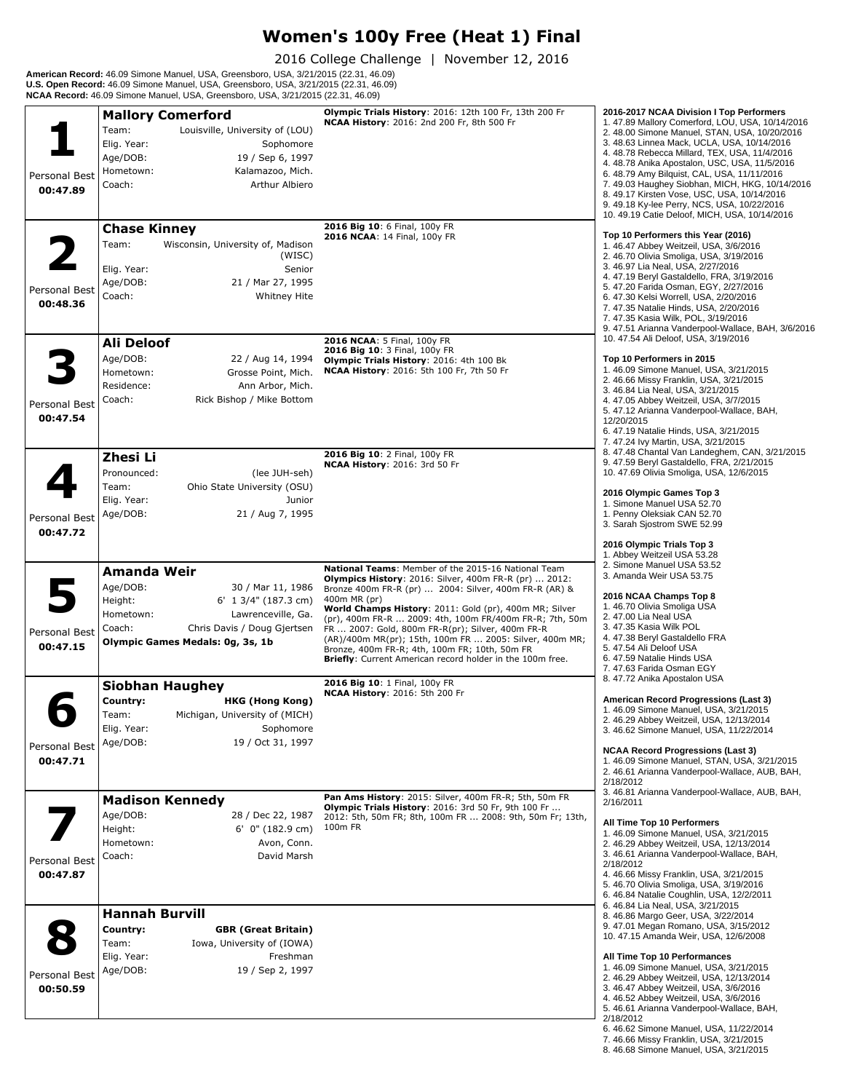# **Women's 100y Free (Heat 1) Final**

2016 College Challenge | November 12, 2016

**American Record:** 46.09 Simone Manuel, USA, Greensboro, USA, 3/21/2015 (22.31, 46.09)<br>**U.S. Open Record:** 46.09 Simone Manuel, USA, Greensboro, USA, 3/21/2015 (22.31, 46.09)<br>**NCAA Record:** 46.09 Simone Manuel, USA, Greens

| Personal Best<br>00:47.89 | <b>Mallory Comerford</b><br>Team:<br>Louisville, University of (LOU)<br>Elig. Year:<br>Sophomore<br>Age/DOB:<br>19 / Sep 6, 1997<br>Hometown:<br>Kalamazoo, Mich.<br>Arthur Albiero<br>Coach:   | Olympic Trials History: 2016: 12th 100 Fr, 13th 200 Fr<br>NCAA History: 2016: 2nd 200 Fr, 8th 500 Fr                                                                                                                                                                                                                                                                                                                                                                                                                                    | 2016-2017 NCAA Division I Top Performers<br>1.47.89 Mallory Comerford, LOU, USA, 10/14/2016<br>2. 48.00 Simone Manuel, STAN, USA, 10/20/2016<br>3.48.63 Linnea Mack, UCLA, USA, 10/14/2016<br>4. 48.78 Rebecca Millard, TEX, USA, 11/4/2016<br>4.48.78 Anika Apostalon, USC, USA, 11/5/2016<br>6. 48.79 Amy Bilquist, CAL, USA, 11/11/2016<br>7. 49.03 Haughey Siobhan, MICH, HKG, 10/14/2016<br>8. 49.17 Kirsten Vose, USC, USA, 10/14/2016<br>9. 49.18 Ky-lee Perry, NCS, USA, 10/22/2016<br>10. 49.19 Catie Deloof, MICH, USA, 10/14/2016               |
|---------------------------|-------------------------------------------------------------------------------------------------------------------------------------------------------------------------------------------------|-----------------------------------------------------------------------------------------------------------------------------------------------------------------------------------------------------------------------------------------------------------------------------------------------------------------------------------------------------------------------------------------------------------------------------------------------------------------------------------------------------------------------------------------|------------------------------------------------------------------------------------------------------------------------------------------------------------------------------------------------------------------------------------------------------------------------------------------------------------------------------------------------------------------------------------------------------------------------------------------------------------------------------------------------------------------------------------------------------------|
| Personal Best<br>00:48.36 | <b>Chase Kinney</b><br>Team:<br>Wisconsin, University of, Madison<br>(WISC)<br>Elig. Year:<br>Senior<br>Age/DOB:<br>21 / Mar 27, 1995<br>Coach:<br><b>Whitney Hite</b>                          | 2016 Big 10: 6 Final, 100y FR<br>2016 NCAA: 14 Final, 100y FR                                                                                                                                                                                                                                                                                                                                                                                                                                                                           | Top 10 Performers this Year (2016)<br>1.46.47 Abbey Weitzeil, USA, 3/6/2016<br>2.46.70 Olivia Smoliga, USA, 3/19/2016<br>3. 46.97 Lia Neal, USA, 2/27/2016<br>4.47.19 Beryl Gastaldello, FRA, 3/19/2016<br>5.47.20 Farida Osman, EGY, 2/27/2016<br>6.47.30 Kelsi Worrell, USA, 2/20/2016<br>7.47.35 Natalie Hinds, USA, 2/20/2016<br>7.47.35 Kasia Wilk, POL, 3/19/2016<br>9.47.51 Arianna Vanderpool-Wallace, BAH, 3/6/2016                                                                                                                               |
| Personal Best<br>00:47.54 | Ali Deloof<br>Age/DOB:<br>22 / Aug 14, 1994<br>Hometown:<br>Grosse Point, Mich.<br>Residence:<br>Ann Arbor, Mich.<br>Coach:<br>Rick Bishop / Mike Bottom                                        | 2016 NCAA: 5 Final, 100y FR<br>2016 Big 10: 3 Final, 100y FR<br>Olympic Trials History: 2016: 4th 100 Bk<br>NCAA History: 2016: 5th 100 Fr, 7th 50 Fr                                                                                                                                                                                                                                                                                                                                                                                   | 10. 47.54 Ali Deloof, USA, 3/19/2016<br>Top 10 Performers in 2015<br>1.46.09 Simone Manuel, USA, 3/21/2015<br>2. 46.66 Missy Franklin, USA, 3/21/2015<br>3. 46.84 Lia Neal, USA, 3/21/2015<br>4.47.05 Abbey Weitzeil, USA, 3/7/2015<br>5.47.12 Arianna Vanderpool-Wallace, BAH,<br>12/20/2015<br>6.47.19 Natalie Hinds, USA, 3/21/2015<br>7.47.24 Ivy Martin, USA, 3/21/2015                                                                                                                                                                               |
| Personal Best<br>00:47.72 | Zhesi Li<br>Pronounced:<br>(lee JUH-seh)<br>Team:<br>Ohio State University (OSU)<br>Elig. Year:<br>Junior<br>Age/DOB:<br>21 / Aug 7, 1995                                                       | 2016 Big 10: 2 Final, 100y FR<br>NCAA History: 2016: 3rd 50 Fr                                                                                                                                                                                                                                                                                                                                                                                                                                                                          | 8.47.48 Chantal Van Landeghem, CAN, 3/21/2015<br>9.47.59 Beryl Gastaldello, FRA, 2/21/2015<br>10. 47.69 Olivia Smoliga, USA, 12/6/2015<br>2016 Olympic Games Top 3<br>1. Simone Manuel USA 52.70<br>1. Penny Oleksiak CAN 52.70<br>3. Sarah Sjostrom SWE 52.99<br>2016 Olympic Trials Top 3                                                                                                                                                                                                                                                                |
| Personal Best<br>00:47.15 | Amanda Weir<br>Age/DOB:<br>30 / Mar 11, 1986<br>Height:<br>6' 1 3/4" (187.3 cm)<br>Hometown:<br>Lawrenceville, Ga.<br>Coach:<br>Chris Davis / Doug Gjertsen<br>Olympic Games Medals: 0g, 3s, 1b | National Teams: Member of the 2015-16 National Team<br>Olympics History: 2016: Silver, 400m FR-R (pr)  2012:<br>Bronze 400m FR-R (pr)  2004: Silver, 400m FR-R (AR) &<br>400m MR (pr)<br>World Champs History: 2011: Gold (pr), 400m MR; Silver<br>(pr), 400m FR-R  2009: 4th, 100m FR/400m FR-R; 7th, 50m<br>FR  2007: Gold, 800m FR-R(pr); Silver, 400m FR-R<br>(AR)/400m MR(pr); 15th, 100m FR  2005: Silver, 400m MR;<br>Bronze, 400m FR-R; 4th, 100m FR; 10th, 50m FR<br>Briefly: Current American record holder in the 100m free. | 1. Abbey Weitzeil USA 53.28<br>2. Simone Manuel USA 53.52<br>3. Amanda Weir USA 53.75<br>2016 NCAA Champs Top 8<br>1.46.70 Olivia Smoliga USA<br>2.47.00 Lia Neal USA<br>3. 47.35 Kasia Wilk POL<br>4.47.38 Beryl Gastaldello FRA<br>5.47.54 Ali Deloof USA<br>6.47.59 Natalie Hinds USA<br>7.47.63 Farida Osman EGY                                                                                                                                                                                                                                       |
| Personal Best<br>00:47.71 | <b>Siobhan Haughey</b><br>Country:<br><b>HKG (Hong Kong)</b><br>Team:<br>Michigan, University of (MICH)<br>Elig. Year:<br>Sophomore<br>Age/DOB:<br>19 / Oct 31, 1997                            | 2016 Big 10: 1 Final, 100y FR<br><b>NCAA History: 2016: 5th 200 Fr</b>                                                                                                                                                                                                                                                                                                                                                                                                                                                                  | 8. 47.72 Anika Apostalon USA<br>American Record Progressions (Last 3)<br>1.46.09 Simone Manuel, USA, 3/21/2015<br>2. 46.29 Abbey Weitzeil, USA, 12/13/2014<br>3. 46.62 Simone Manuel, USA, 11/22/2014<br><b>NCAA Record Progressions (Last 3)</b><br>1.46.09 Simone Manuel, STAN, USA, 3/21/2015<br>2. 46.61 Arianna Vanderpool-Wallace, AUB, BAH,<br>2/18/2012                                                                                                                                                                                            |
| Personal Best<br>00:47.87 | <b>Madison Kennedy</b><br>Age/DOB:<br>28 / Dec 22, 1987<br>Height:<br>$6'$ 0" (182.9 cm)<br>Hometown:<br>Avon, Conn.<br>Coach:<br>David Marsh                                                   | Pan Ams History: 2015: Silver, 400m FR-R; 5th, 50m FR<br>Olympic Trials History: 2016: 3rd 50 Fr, 9th 100 Fr<br>2012: 5th, 50m FR; 8th, 100m FR  2008: 9th, 50m Fr; 13th,<br>100m FR                                                                                                                                                                                                                                                                                                                                                    | 3.46.81 Arianna Vanderpool-Wallace, AUB, BAH,<br>2/16/2011<br>All Time Top 10 Performers<br>1.46.09 Simone Manuel, USA, 3/21/2015<br>2. 46.29 Abbey Weitzeil, USA, 12/13/2014<br>3.46.61 Arianna Vanderpool-Wallace, BAH,<br>2/18/2012<br>4.46.66 Missy Franklin, USA, 3/21/2015<br>5.46.70 Olivia Smoliga, USA, 3/19/2016<br>6. 46.84 Natalie Coughlin, USA, 12/2/2011                                                                                                                                                                                    |
| Personal Best<br>00:50.59 | <b>Hannah Burvill</b><br>Country:<br><b>GBR (Great Britain)</b><br>Team:<br>Iowa, University of (IOWA)<br>Elig. Year:<br>Freshman<br>Age/DOB:<br>19 / Sep 2, 1997                               |                                                                                                                                                                                                                                                                                                                                                                                                                                                                                                                                         | 6.46.84 Lia Neal, USA, 3/21/2015<br>8. 46.86 Margo Geer, USA, 3/22/2014<br>9.47.01 Megan Romano, USA, 3/15/2012<br>10. 47.15 Amanda Weir, USA, 12/6/2008<br>All Time Top 10 Performances<br>1.46.09 Simone Manuel, USA, 3/21/2015<br>2. 46.29 Abbey Weitzeil, USA, 12/13/2014<br>3. 46.47 Abbey Weitzeil, USA, 3/6/2016<br>4. 46.52 Abbey Weitzeil, USA, 3/6/2016<br>5. 46.61 Arianna Vanderpool-Wallace, BAH,<br>2/18/2012<br>6. 46.62 Simone Manuel, USA, 11/22/2014<br>7. 46.66 Missy Franklin, USA, 3/21/2015<br>8.46.68 Simone Manuel, USA, 3/21/2015 |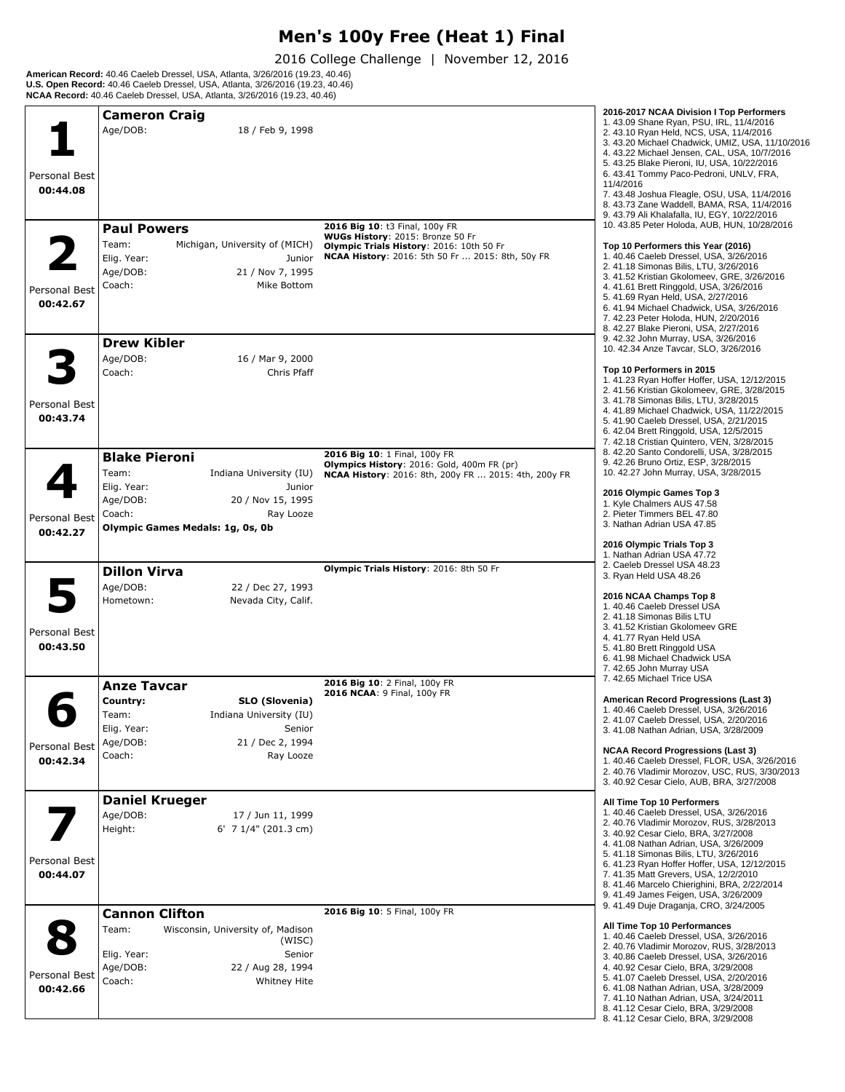## **Men's 100y Free (Heat 1) Final**

2016 College Challenge | November 12, 2016

**American Record:** 40.46 Caeleb Dressel, USA, Atlanta, 3/26/2016 (19.23, 40.46)<br>**U.S. Open Record:** 40.46 Caeleb Dressel, USA, Atlanta, 3/26/2016 (19.23, 40.46)<br>**NCAA Record:** 40.46 Caeleb Dressel, USA, Atlanta, 3/26/2016

|               | <b>Cameron Craig</b>                          |                                                                              | 2016-2017 NCAA Division I Top Performers<br>1.43.09 Shane Ryan, PSU, IRL, 11/4/2016         |
|---------------|-----------------------------------------------|------------------------------------------------------------------------------|---------------------------------------------------------------------------------------------|
|               | Age/DOB:<br>18 / Feb 9, 1998                  |                                                                              | 2. 43.10 Ryan Held, NCS, USA, 11/4/2016                                                     |
|               |                                               |                                                                              | 3. 43.20 Michael Chadwick, UMIZ, USA, 11/10/2016                                            |
|               |                                               |                                                                              | 4. 43.22 Michael Jensen, CAL, USA, 10/7/2016<br>5. 43.25 Blake Pieroni, IU, USA, 10/22/2016 |
| Personal Best |                                               |                                                                              | 6. 43.41 Tommy Paco-Pedroni, UNLV, FRA,                                                     |
| 00:44.08      |                                               |                                                                              | 11/4/2016                                                                                   |
|               |                                               |                                                                              | 7. 43.48 Joshua Fleagle, OSU, USA, 11/4/2016<br>8. 43.73 Zane Waddell, BAMA, RSA, 11/4/2016 |
|               |                                               |                                                                              | 9. 43.79 Ali Khalafalla, IU, EGY, 10/22/2016                                                |
|               | <b>Paul Powers</b>                            | 2016 Big 10: t3 Final, 100y FR                                               | 10. 43.85 Peter Holoda, AUB, HUN, 10/28/2016                                                |
|               | Team:<br>Michigan, University of (MICH)       | WUGs History: 2015: Bronze 50 Fr<br>Olympic Trials History: 2016: 10th 50 Fr | Top 10 Performers this Year (2016)                                                          |
|               | Elig. Year:<br>Junior                         | <b>NCAA History: 2016: 5th 50 Fr  2015: 8th, 50y FR</b>                      | 1.40.46 Caeleb Dressel, USA, 3/26/2016                                                      |
|               | Age/DOB:<br>21 / Nov 7, 1995                  |                                                                              | 2. 41.18 Simonas Bilis, LTU, 3/26/2016<br>3. 41.52 Kristian Gkolomeev, GRE, 3/26/2016       |
| Personal Best | Coach:<br>Mike Bottom                         |                                                                              | 4.41.61 Brett Ringgold, USA, 3/26/2016                                                      |
| 00:42.67      |                                               |                                                                              | 5.41.69 Ryan Held, USA, 2/27/2016<br>6. 41.94 Michael Chadwick, USA, 3/26/2016              |
|               |                                               |                                                                              | 7. 42.23 Peter Holoda, HUN, 2/20/2016                                                       |
|               |                                               |                                                                              | 8. 42.27 Blake Pieroni, USA, 2/27/2016                                                      |
|               | <b>Drew Kibler</b>                            |                                                                              | 9. 42.32 John Murray, USA, 3/26/2016<br>10. 42.34 Anze Tavcar, SLO, 3/26/2016               |
|               | Age/DOB:<br>16 / Mar 9, 2000                  |                                                                              |                                                                                             |
|               | Coach:<br>Chris Pfaff                         |                                                                              | Top 10 Performers in 2015<br>1.41.23 Ryan Hoffer Hoffer, USA, 12/12/2015                    |
|               |                                               |                                                                              | 2. 41.56 Kristian Gkolomeev, GRE, 3/28/2015                                                 |
| Personal Best |                                               |                                                                              | 3. 41.78 Simonas Bilis, LTU, 3/28/2015                                                      |
| 00:43.74      |                                               |                                                                              | 4.41.89 Michael Chadwick, USA, 11/22/2015<br>5. 41.90 Caeleb Dressel, USA, 2/21/2015        |
|               |                                               |                                                                              | 6. 42.04 Brett Ringgold, USA, 12/5/2015                                                     |
|               |                                               |                                                                              | 7. 42.18 Cristian Quintero, VEN, 3/28/2015<br>8. 42.20 Santo Condorelli, USA, 3/28/2015     |
|               | <b>Blake Pieroni</b>                          | 2016 Big 10: 1 Final, 100y FR<br>Olympics History: 2016: Gold, 400m FR (pr)  | 9. 42.26 Bruno Ortiz, ESP, 3/28/2015                                                        |
|               | Team:<br>Indiana University (IU)              | NCAA History: 2016: 8th, 200y FR  2015: 4th, 200y FR                         | 10. 42.27 John Murray, USA, 3/28/2015                                                       |
|               | Elig. Year:<br>Junior                         |                                                                              | 2016 Olympic Games Top 3                                                                    |
|               | Age/DOB:<br>20 / Nov 15, 1995<br>Coach:       |                                                                              | 1. Kyle Chalmers AUS 47.58<br>2. Pieter Timmers BEL 47.80                                   |
| Personal Best | Ray Looze<br>Olympic Games Medals: 1g, 0s, 0b |                                                                              | 3. Nathan Adrian USA 47.85                                                                  |
| 00:42.27      |                                               |                                                                              |                                                                                             |
|               |                                               |                                                                              | 2016 Olympic Trials Top 3<br>1. Nathan Adrian USA 47.72                                     |
|               | <b>Dillon Virva</b>                           | Olympic Trials History: 2016: 8th 50 Fr                                      | 2. Caeleb Dressel USA 48.23                                                                 |
|               | Age/DOB:<br>22 / Dec 27, 1993                 |                                                                              | 3. Ryan Held USA 48.26                                                                      |
|               | Hometown:<br>Nevada City, Calif.              |                                                                              | 2016 NCAA Champs Top 8                                                                      |
|               |                                               |                                                                              | 1.40.46 Caeleb Dressel USA<br>2.41.18 Simonas Bilis LTU                                     |
| Personal Best |                                               |                                                                              | 3. 41.52 Kristian Gkolomeev GRE                                                             |
| 00:43.50      |                                               |                                                                              | 4.41.77 Ryan Held USA<br>5.41.80 Brett Ringgold USA                                         |
|               |                                               |                                                                              | 6. 41.98 Michael Chadwick USA                                                               |
|               |                                               |                                                                              | 7. 42.65 John Murray USA<br>7. 42.65 Michael Trice USA                                      |
|               | <b>Anze Tavcar</b>                            | 2016 Big 10: 2 Final, 100y FR<br>2016 NCAA: 9 Final, 100y FR                 |                                                                                             |
|               | Country:<br>SLO (Slovenia)                    |                                                                              | American Record Progressions (Last 3)                                                       |
|               | Team:<br>Indiana University (IU)              |                                                                              | 1, 40.46 Caeleb Dressel, USA, 3/26/2016<br>2.41.07 Caeleb Dressel, USA, 2/20/2016           |
|               | Elig. Year:<br>Senior                         |                                                                              | 3.41.08 Nathan Adrian, USA, 3/28/2009                                                       |
| Personal Best | Age/DOB:<br>21 / Dec 2, 1994                  |                                                                              | <b>NCAA Record Progressions (Last 3)</b>                                                    |
| 00:42.34      | Coach:<br>Ray Looze                           |                                                                              | 1.40.46 Caeleb Dressel, FLOR, USA, 3/26/2016                                                |
|               |                                               |                                                                              | 2. 40.76 Vladimir Morozov, USC, RUS, 3/30/2013                                              |
|               |                                               |                                                                              | 3. 40.92 Cesar Cielo, AUB, BRA, 3/27/2008                                                   |
|               | <b>Daniel Krueger</b>                         |                                                                              | All Time Top 10 Performers                                                                  |
|               | Age/DOB:<br>17 / Jun 11, 1999                 |                                                                              | 1.40.46 Caeleb Dressel, USA, 3/26/2016<br>2. 40.76 Vladimir Morozov, RUS, 3/28/2013         |
|               | Height:<br>6' 7 $1/4$ " (201.3 cm)            |                                                                              | 3. 40.92 Cesar Cielo, BRA, 3/27/2008                                                        |
|               |                                               |                                                                              | 4.41.08 Nathan Adrian, USA, 3/26/2009<br>5.41.18 Simonas Bilis, LTU, 3/26/2016              |
| Personal Best |                                               |                                                                              | 6.41.23 Ryan Hoffer Hoffer, USA, 12/12/2015                                                 |
| 00:44.07      |                                               |                                                                              | 7. 41.35 Matt Grevers, USA, 12/2/2010<br>8. 41.46 Marcelo Chierighini, BRA, 2/22/2014       |
|               |                                               |                                                                              | 9.41.49 James Feigen, USA, 3/26/2009                                                        |
|               | <b>Cannon Clifton</b>                         | 2016 Big 10: 5 Final, 100y FR                                                | 9.41.49 Duje Draganja, CRO, 3/24/2005                                                       |
|               | Team:<br>Wisconsin, University of, Madison    |                                                                              | All Time Top 10 Performances                                                                |
|               | (WISC)                                        |                                                                              | 1. 40.46 Caeleb Dressel, USA, 3/26/2016                                                     |
|               | Elig. Year:<br>Senior                         |                                                                              | 2. 40.76 Vladimir Morozov, RUS, 3/28/2013<br>3. 40.86 Caeleb Dressel, USA, 3/26/2016        |
|               | Age/DOB:<br>22 / Aug 28, 1994                 |                                                                              | 4. 40.92 Cesar Cielo, BRA, 3/29/2008                                                        |
| Personal Best | Coach:<br><b>Whitney Hite</b>                 |                                                                              | 5. 41.07 Caeleb Dressel, USA, 2/20/2016<br>6.41.08 Nathan Adrian, USA, 3/28/2009            |
| 00:42.66      |                                               |                                                                              | 7. 41.10 Nathan Adrian, USA, 3/24/2011                                                      |
|               |                                               |                                                                              | 8.41.12 Cesar Cielo, BRA, 3/29/2008                                                         |
|               |                                               |                                                                              | 8. 41.12 Cesar Cielo, BRA, 3/29/2008                                                        |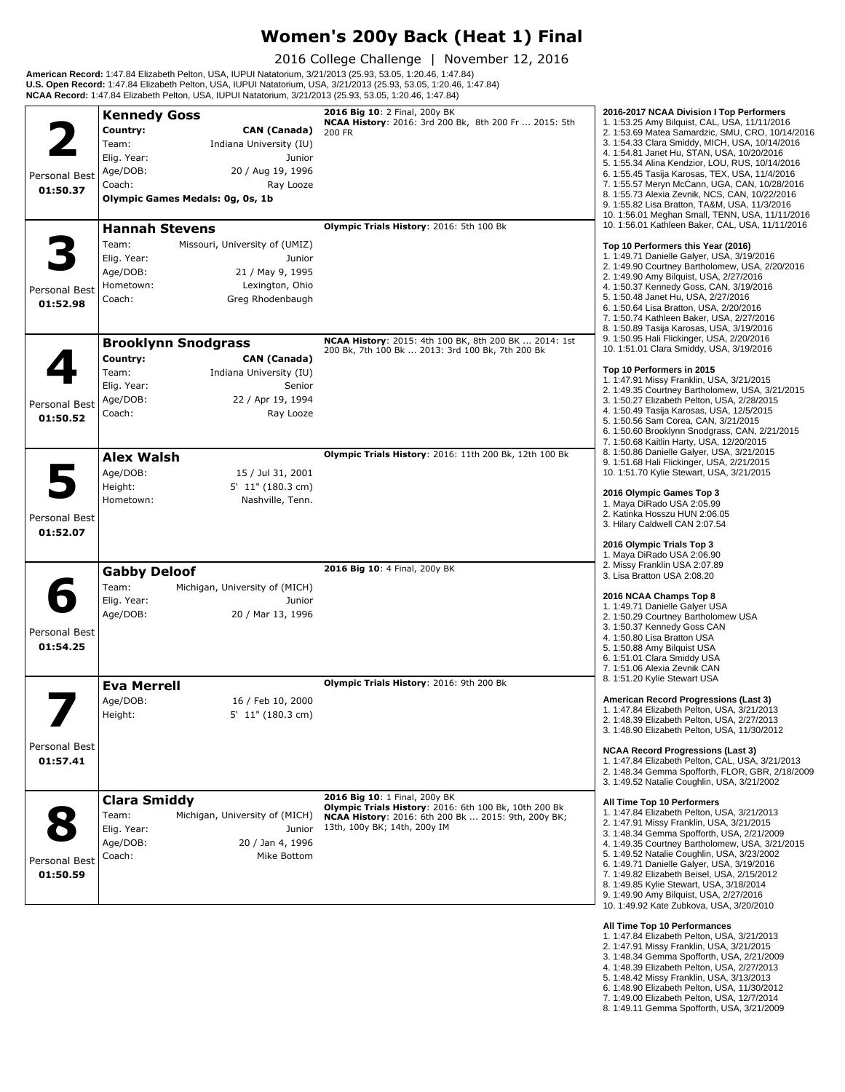#### **Women's 200y Back (Heat 1) Final**

2016 College Challenge | November 12, 2016

**American Record:** 1:47.84 Elizabeth Pelton, USA, IUPUI Natatorium, 3/21/2013 (25.93, 53.05, 1:20.46, 1:47.84)<br>**U.S. Open Record:** 1:47.84 Elizabeth Pelton, USA, IUPUI Natatorium, USA, 3/21/2013 (25.93, 53.05, 1:20.46, 1:4 **NCAA Record:** 1:47.84 Elizabeth Pelton, USA, IUPUI Natatorium, 3/21/2013 (25.93, 53.05, 1:20.46, 1:47.84)

|                           | <b>Kennedy Goss</b>                                                                                                                                                                      | 2016 Big 10: 2 Final, 200y BK<br>NCAA History: 2016: 3rd 200 Bk, 8th 200 Fr  2015: 5th                                                                                               | 2016-2017 NCAA Division I Top Performers                                                                                                                                                                                                                                                                                                                                                                                                                                                               |
|---------------------------|------------------------------------------------------------------------------------------------------------------------------------------------------------------------------------------|--------------------------------------------------------------------------------------------------------------------------------------------------------------------------------------|--------------------------------------------------------------------------------------------------------------------------------------------------------------------------------------------------------------------------------------------------------------------------------------------------------------------------------------------------------------------------------------------------------------------------------------------------------------------------------------------------------|
| Personal Best<br>01:50.37 | Country:<br><b>CAN (Canada)</b><br>Team:<br>Indiana University (IU)<br>Elig. Year:<br>Junior<br>Age/DOB:<br>20 / Aug 19, 1996<br>Coach:<br>Ray Looze<br>Olympic Games Medals: 0g, 0s, 1b | 200 FR                                                                                                                                                                               | 1. 1:53.25 Amy Bilquist, CAL, USA, 11/11/2016<br>2. 1:53.69 Matea Samardzic, SMU, CRO, 10/14/2016<br>3. 1:54.33 Clara Smiddy, MICH, USA, 10/14/2016<br>4. 1:54.81 Janet Hu, STAN, USA, 10/20/2016<br>5. 1:55.34 Alina Kendzior, LOU, RUS, 10/14/2016<br>6. 1:55.45 Tasija Karosas, TEX, USA, 11/4/2016<br>7. 1:55.57 Meryn McCann, UGA, CAN, 10/28/2016<br>8. 1:55.73 Alexia Zevnik, NCS, CAN, 10/22/2016<br>9. 1:55.82 Lisa Bratton, TA&M, USA, 11/3/2016                                             |
|                           |                                                                                                                                                                                          | Olympic Trials History: 2016: 5th 100 Bk                                                                                                                                             | 10. 1:56.01 Meghan Small, TENN, USA, 11/11/2016<br>10. 1:56.01 Kathleen Baker, CAL, USA, 11/11/2016                                                                                                                                                                                                                                                                                                                                                                                                    |
| Personal Best             | <b>Hannah Stevens</b><br>Team:<br>Missouri, University of (UMIZ)<br>Elig. Year:<br>Junior<br>Age/DOB:<br>21 / May 9, 1995<br>Hometown:<br>Lexington, Ohio<br>Coach:                      |                                                                                                                                                                                      | Top 10 Performers this Year (2016)<br>1. 1:49.71 Danielle Galyer, USA, 3/19/2016<br>2. 1:49.90 Courtney Bartholomew, USA, 2/20/2016<br>2. 1:49.90 Amy Bilguist, USA, 2/27/2016<br>4. 1:50.37 Kennedy Goss, CAN, 3/19/2016<br>5. 1:50.48 Janet Hu, USA, 2/27/2016                                                                                                                                                                                                                                       |
| 01:52.98                  | Greg Rhodenbaugh<br><b>Brooklynn Snodgrass</b>                                                                                                                                           | <b>NCAA History: 2015: 4th 100 BK, 8th 200 BK  2014: 1st</b>                                                                                                                         | 6. 1:50.64 Lisa Bratton, USA, 2/20/2016<br>7. 1:50.74 Kathleen Baker, USA, 2/27/2016<br>8. 1:50.89 Tasija Karosas, USA, 3/19/2016<br>9. 1:50.95 Hali Flickinger, USA, 2/20/2016                                                                                                                                                                                                                                                                                                                        |
| Personal Best<br>01:50.52 | Country:<br>CAN (Canada)<br>Team:<br>Indiana University (IU)<br>Elig. Year:<br>Senior<br>Age/DOB:<br>22 / Apr 19, 1994<br>Coach:<br>Ray Looze                                            | 200 Bk, 7th 100 Bk  2013: 3rd 100 Bk, 7th 200 Bk                                                                                                                                     | 10. 1:51.01 Clara Smiddy, USA, 3/19/2016<br>Top 10 Performers in 2015<br>1. 1:47.91 Missy Franklin, USA, 3/21/2015<br>2. 1:49.35 Courtney Bartholomew, USA, 3/21/2015<br>3. 1:50.27 Elizabeth Pelton, USA, 2/28/2015<br>4. 1:50.49 Tasija Karosas, USA, 12/5/2015<br>5. 1:50.56 Sam Corea, CAN, 3/21/2015<br>6. 1:50.60 Brooklynn Snodgrass, CAN, 2/21/2015<br>7. 1:50.68 Kaitlin Harty, USA, 12/20/2015                                                                                               |
| Personal Best<br>01:52.07 | <b>Alex Walsh</b><br>Age/DOB:<br>15 / Jul 31, 2001<br>5' 11" (180.3 cm)<br>Height:<br>Hometown:<br>Nashville, Tenn.                                                                      | Olympic Trials History: 2016: 11th 200 Bk, 12th 100 Bk                                                                                                                               | 8. 1:50.86 Danielle Galyer, USA, 3/21/2015<br>9. 1:51.68 Hali Flickinger, USA, 2/21/2015<br>10. 1:51.70 Kylie Stewart, USA, 3/21/2015<br>2016 Olympic Games Top 3<br>1. Maya DiRado USA 2:05.99<br>2. Katinka Hosszu HUN 2:06.05<br>3. Hilary Caldwell CAN 2:07.54<br>2016 Olympic Trials Top 3                                                                                                                                                                                                        |
|                           | <b>Gabby Deloof</b><br>Team:<br>Michigan, University of (MICH)                                                                                                                           | 2016 Big 10: 4 Final, 200y BK                                                                                                                                                        | 1. Maya DiRado USA 2:06.90<br>2. Missy Franklin USA 2:07.89<br>3. Lisa Bratton USA 2:08.20                                                                                                                                                                                                                                                                                                                                                                                                             |
| Personal Best<br>01:54.25 | Elig. Year:<br>Junior<br>Age/DOB:<br>20 / Mar 13, 1996                                                                                                                                   |                                                                                                                                                                                      | 2016 NCAA Champs Top 8<br>1. 1:49.71 Danielle Galyer USA<br>2. 1:50.29 Courtney Bartholomew USA<br>3. 1:50.37 Kennedy Goss CAN<br>4.1:50.80 Lisa Bratton USA<br>5. 1:50.88 Amy Bilquist USA<br>6. 1:51.01 Clara Smiddy USA<br>7. 1:51.06 Alexia Zevnik CAN                                                                                                                                                                                                                                             |
|                           | <b>Eva Merrell</b>                                                                                                                                                                       | Olympic Trials History: 2016: 9th 200 Bk                                                                                                                                             | 8. 1:51.20 Kylie Stewart USA                                                                                                                                                                                                                                                                                                                                                                                                                                                                           |
|                           | Age/DOB:<br>16 / Feb 10, 2000<br>Height:<br>5' 11" (180.3 cm)                                                                                                                            |                                                                                                                                                                                      | American Record Progressions (Last 3)<br>1. 1:47.84 Elizabeth Pelton, USA, 3/21/2013<br>2. 1:48.39 Elizabeth Pelton, USA, 2/27/2013<br>3. 1:48.90 Elizabeth Pelton, USA, 11/30/2012                                                                                                                                                                                                                                                                                                                    |
| Personal Best<br>01:57.41 |                                                                                                                                                                                          |                                                                                                                                                                                      | <b>NCAA Record Progressions (Last 3)</b><br>1. 1:47.84 Elizabeth Pelton, CAL, USA, 3/21/2013<br>2. 1:48.34 Gemma Spofforth, FLOR, GBR, 2/18/2009<br>3. 1:49.52 Natalie Coughlin, USA, 3/21/2002                                                                                                                                                                                                                                                                                                        |
| Personal Best<br>01:50.59 | <b>Clara Smiddy</b><br>Team:<br>Michigan, University of (MICH)<br>Elig. Year:<br>Junior<br>Age/DOB:<br>20 / Jan 4, 1996<br>Coach:<br>Mike Bottom                                         | 2016 Big 10: 1 Final, 200y BK<br>Olympic Trials History: 2016: 6th 100 Bk, 10th 200 Bk<br><b>NCAA History: 2016: 6th 200 Bk  2015: 9th, 200y BK:</b><br>13th, 100y BK; 14th, 200y IM | All Time Top 10 Performers<br>1. 1:47.84 Elizabeth Pelton, USA, 3/21/2013<br>2. 1:47.91 Missy Franklin, USA, 3/21/2015<br>3. 1:48.34 Gemma Spofforth, USA, 2/21/2009<br>4. 1:49.35 Courtney Bartholomew, USA, 3/21/2015<br>5. 1:49.52 Natalie Coughlin, USA, 3/23/2002<br>6. 1:49.71 Danielle Galyer, USA, 3/19/2016<br>7. 1:49.82 Elizabeth Beisel, USA, 2/15/2012<br>8. 1:49.85 Kylie Stewart, USA, 3/18/2014<br>9. 1:49.90 Amy Bilguist, USA, 2/27/2016<br>10. 1:49.92 Kate Zubkova, USA, 3/20/2010 |
|                           |                                                                                                                                                                                          |                                                                                                                                                                                      | All Time Top 10 Performances<br>04 Elizabeth Delton, UCA                                                                                                                                                                                                                                                                                                                                                                                                                                               |

- 1. 1:47.84 Elizabeth Pelton, USA, 3/21/2013 2. 1:47.91 Missy Franklin, USA, 3/21/2015
- 
- 3. 1:48.34 Gemma Spofforth, USA, 2/21/2009 4. 1:48.39 Elizabeth Pelton, USA, 2/27/2013 5. 1:48.42 Missy Franklin, USA, 3/13/2013 6. 1:48.90 Elizabeth Pelton, USA, 11/30/2012 7. 1:49.00 Elizabeth Pelton, USA, 12/7/2014
- 
- 
- 
- 8. 1:49.11 Gemma Spofforth, USA, 3/21/2009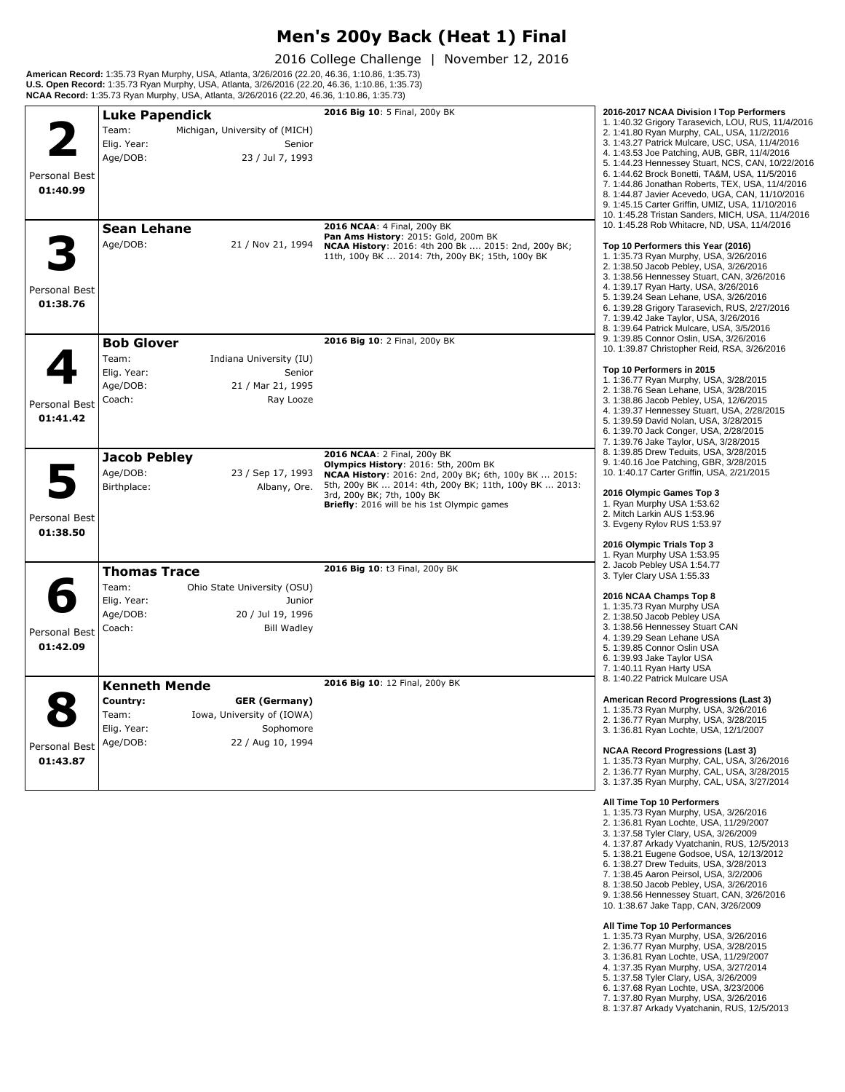#### **Men's 200y Back (Heat 1) Final**

2016 College Challenge | November 12, 2016

**American Record:** 1:35.73 Ryan Murphy, USA, Atlanta, 3/26/2016 (22.20, 46.36, 1:10.86, 1:35.73)<br>**U.S. Open Record:** 1:35.73 Ryan Murphy, USA, Atlanta, 3/26/2016 (22.20, 46.36, 1:10.86, 1:35.73)<br>**NCAA Record:** 1:35.73 Ryan

|               | <b>Luke Papendick</b>                   | 2016 Big 10: 5 Final, 200y BK                                       | 2016-2017 NCAA Division I Top Performers                                                            |
|---------------|-----------------------------------------|---------------------------------------------------------------------|-----------------------------------------------------------------------------------------------------|
|               | Team:<br>Michigan, University of (MICH) |                                                                     | 1. 1:40.32 Grigory Tarasevich, LOU, RUS, 11/4/2016                                                  |
|               |                                         |                                                                     | 2. 1:41.80 Ryan Murphy, CAL, USA, 11/2/2016<br>3. 1:43.27 Patrick Mulcare, USC, USA, 11/4/2016      |
|               | Elig. Year:<br>Senior                   |                                                                     | 4. 1:43.53 Joe Patching, AUB, GBR, 11/4/2016                                                        |
|               | Age/DOB:<br>23 / Jul 7, 1993            |                                                                     | 5. 1:44.23 Hennessey Stuart, NCS, CAN, 10/22/2016                                                   |
| Personal Best |                                         |                                                                     | 6. 1:44.62 Brock Bonetti, TA&M, USA, 11/5/2016                                                      |
| 01:40.99      |                                         |                                                                     | 7. 1:44.86 Jonathan Roberts, TEX, USA, 11/4/2016<br>8. 1:44.87 Javier Acevedo, UGA, CAN, 11/10/2016 |
|               |                                         |                                                                     | 9. 1:45.15 Carter Griffin, UMIZ, USA, 11/10/2016                                                    |
|               |                                         |                                                                     | 10. 1:45.28 Tristan Sanders, MICH, USA, 11/4/2016                                                   |
|               | <b>Sean Lehane</b>                      | 2016 NCAA: 4 Final, 200y BK<br>Pan Ams History: 2015: Gold, 200m BK | 10. 1:45.28 Rob Whitacre, ND, USA, 11/4/2016                                                        |
|               | Age/DOB:<br>21 / Nov 21, 1994           | NCAA History: 2016: 4th 200 Bk  2015: 2nd, 200y BK;                 | Top 10 Performers this Year (2016)                                                                  |
|               |                                         | 11th, 100y BK  2014: 7th, 200y BK; 15th, 100y BK                    | 1. 1:35.73 Ryan Murphy, USA, 3/26/2016                                                              |
|               |                                         |                                                                     | 2. 1:38.50 Jacob Pebley, USA, 3/26/2016<br>3. 1:38.56 Hennessey Stuart, CAN, 3/26/2016              |
| Personal Best |                                         |                                                                     | 4. 1:39.17 Ryan Harty, USA, 3/26/2016                                                               |
| 01:38.76      |                                         |                                                                     | 5. 1:39.24 Sean Lehane, USA, 3/26/2016                                                              |
|               |                                         |                                                                     | 6. 1:39.28 Grigory Tarasevich, RUS, 2/27/2016                                                       |
|               |                                         |                                                                     | 7. 1:39.42 Jake Taylor, USA, 3/26/2016<br>8. 1:39.64 Patrick Mulcare, USA, 3/5/2016                 |
|               | <b>Bob Glover</b>                       | 2016 Big 10: 2 Final, 200y BK                                       | 9. 1:39.85 Connor Oslin, USA, 3/26/2016                                                             |
|               | Team:<br>Indiana University (IU)        |                                                                     | 10. 1:39.87 Christopher Reid, RSA, 3/26/2016                                                        |
|               |                                         |                                                                     | Top 10 Performers in 2015                                                                           |
|               | Elig. Year:<br>Senior                   |                                                                     | 1. 1:36.77 Ryan Murphy, USA, 3/28/2015                                                              |
|               | Age/DOB:<br>21 / Mar 21, 1995           |                                                                     | 2. 1:38.76 Sean Lehane, USA, 3/28/2015                                                              |
| Personal Best | Coach:<br>Ray Looze                     |                                                                     | 3. 1:38.86 Jacob Pebley, USA, 12/6/2015<br>4. 1:39.37 Hennessey Stuart, USA, 2/28/2015              |
| 01:41.42      |                                         |                                                                     | 5. 1:39.59 David Nolan, USA, 3/28/2015                                                              |
|               |                                         |                                                                     | 6. 1:39.70 Jack Conger, USA, 2/28/2015                                                              |
|               |                                         |                                                                     | 7. 1:39.76 Jake Taylor, USA, 3/28/2015                                                              |
|               | Jacob Pebley                            | 2016 NCAA: 2 Final, 200y BK<br>Olympics History: 2016: 5th, 200m BK | 8. 1:39.85 Drew Teduits, USA, 3/28/2015<br>9. 1:40.16 Joe Patching, GBR, 3/28/2015                  |
|               | Age/DOB:<br>23 / Sep 17, 1993           | NCAA History: 2016: 2nd, 200y BK; 6th, 100y BK  2015:               | 10. 1:40.17 Carter Griffin, USA, 2/21/2015                                                          |
|               | Birthplace:<br>Albany, Ore.             | 5th, 200y BK  2014: 4th, 200y BK; 11th, 100y BK  2013:              |                                                                                                     |
|               |                                         | 3rd, 200y BK; 7th, 100y BK                                          | 2016 Olympic Games Top 3<br>1. Ryan Murphy USA 1:53.62                                              |
| Personal Best |                                         | Briefly: 2016 will be his 1st Olympic games                         | 2. Mitch Larkin AUS 1:53.96                                                                         |
|               |                                         |                                                                     | 3. Evgeny Rylov RUS 1:53.97                                                                         |
| 01:38.50      |                                         |                                                                     | 2016 Olympic Trials Top 3                                                                           |
|               |                                         |                                                                     | 1. Ryan Murphy USA 1:53.95                                                                          |
|               | <b>Thomas Trace</b>                     | 2016 Big 10: t3 Final, 200y BK                                      | 2. Jacob Pebley USA 1:54.77                                                                         |
|               | Team:<br>Ohio State University (OSU)    |                                                                     | 3. Tyler Clary USA 1:55.33                                                                          |
|               | Elig. Year:<br>Junior                   |                                                                     | 2016 NCAA Champs Top 8                                                                              |
|               | Age/DOB:<br>20 / Jul 19, 1996           |                                                                     | 1. 1:35.73 Ryan Murphy USA                                                                          |
|               | Coach:<br><b>Bill Wadley</b>            |                                                                     | 2. 1:38.50 Jacob Pebley USA<br>3. 1:38.56 Hennessey Stuart CAN                                      |
| Personal Best |                                         |                                                                     | 4. 1:39.29 Sean Lehane USA                                                                          |
| 01:42.09      |                                         |                                                                     | 5. 1:39.85 Connor Oslin USA                                                                         |
|               |                                         |                                                                     | 6. 1:39.93 Jake Taylor USA<br>7. 1:40.11 Ryan Harty USA                                             |
|               |                                         |                                                                     | 8. 1:40.22 Patrick Mulcare USA                                                                      |
|               | <b>Kenneth Mende</b>                    | 2016 Big 10: 12 Final, 200y BK                                      |                                                                                                     |
|               | Country:<br><b>GER (Germany)</b>        |                                                                     | American Record Progressions (Last 3)<br>1. 1:35.73 Ryan Murphy, USA, 3/26/2016                     |
|               | Iowa, University of (IOWA)<br>Team:     |                                                                     | 2. 1:36.77 Ryan Murphy, USA, 3/28/2015                                                              |
|               | Elig. Year:<br>Sophomore                |                                                                     | 3. 1:36.81 Ryan Lochte, USA, 12/1/2007                                                              |
| Personal Best | Age/DOB:<br>22 / Aug 10, 1994           |                                                                     |                                                                                                     |
| 01:43.87      |                                         |                                                                     | <b>NCAA Record Progressions (Last 3)</b><br>1. 1:35.73 Ryan Murphy, CAL, USA, 3/26/2016             |
|               |                                         |                                                                     | 2. 1:36.77 Ryan Murphy, CAL, USA, 3/28/2015                                                         |
|               |                                         |                                                                     | 3. 1:37.35 Ryan Murphy, CAL, USA, 3/27/2014                                                         |
|               |                                         |                                                                     | All Time Top 10 Performers                                                                          |
|               |                                         |                                                                     | 1. 1:35.73 Ryan Murphy, USA, 3/26/2016                                                              |

- 2. 1:36.81 Ryan Lochte, USA, 11/29/2007
- 3. 1:37.58 Tyler Clary, USA, 3/26/2009
- 4. 1:37.87 Arkady Vyatchanin, RUS, 12/5/2013
- 5. 1:38.21 Eugene Godsoe, USA, 12/13/2012
- 6. 1:38.27 Drew Teduits, USA, 3/28/2013 7. 1:38.45 Aaron Peirsol, USA, 3/2/2006 8. 1:38.50 Jacob Pebley, USA, 3/26/2016
- 
- 9. 1:38.56 Hennessey Stuart, CAN, 3/26/2016
- 10. 1:38.67 Jake Tapp, CAN, 3/26/2009

- **All Time Top 10 Performances**<br>1. 1:35.73 Ryan Murphy, USA, 3/26/2016<br>2. 1:36.77 Ryan Murphy, USA, 3/28/2015<br>3. 1:36.81 Ryan Lochte, USA, 11/29/2007<br>4. 1:37.35 Ryan Murphy, USA, 3/27/2014<br>5. 1:37.68 Ryan Lochte, USA, 3/23/
- 
- 
- 
- 
- 
-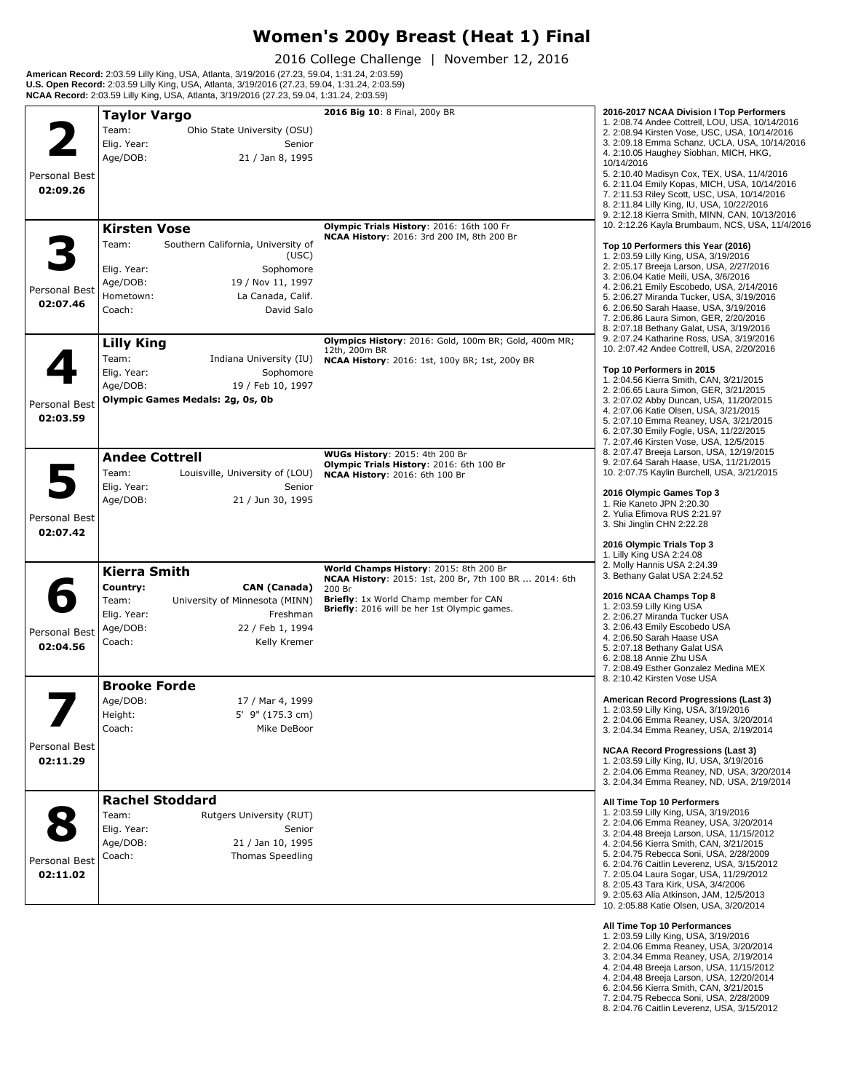# **Women's 200y Breast (Heat 1) Final**

2016 College Challenge | November 12, 2016

**American Record:** 2:03.59 Lilly King, USA, Atlanta, 3/19/2016 (27.23, 59.04, 1:31.24, 2:03.59)<br>**U.S. Open Record:** 2:03.59 Lilly King, USA, Atlanta, 3/19/2016 (27.23, 59.04, 1:31.24, 2:03.59)<br>**NCAA Record:** 2:03.59 Lilly

|               | <b>Taylor Vargo</b>                         | 2016 Big 10: 8 Final, 200y BR                                                           | 2016-2017 NCAA Division I Top Performers<br>1. 2:08.74 Andee Cottrell, LOU, USA, 10/14/2016       |
|---------------|---------------------------------------------|-----------------------------------------------------------------------------------------|---------------------------------------------------------------------------------------------------|
|               | Team:<br>Ohio State University (OSU)        |                                                                                         | 2. 2:08.94 Kirsten Vose, USC, USA, 10/14/2016                                                     |
|               | Elig. Year:<br>Senior                       |                                                                                         | 3. 2:09.18 Emma Schanz, UCLA, USA, 10/14/2016                                                     |
|               | Age/DOB:<br>21 / Jan 8, 1995                |                                                                                         | 4. 2:10.05 Haughey Siobhan, MICH, HKG,                                                            |
|               |                                             |                                                                                         | 10/14/2016                                                                                        |
| Personal Best |                                             |                                                                                         | 5. 2:10.40 Madisyn Cox, TEX, USA, 11/4/2016<br>6. 2:11.04 Emily Kopas, MICH, USA, 10/14/2016      |
| 02:09.26      |                                             |                                                                                         | 7. 2:11.53 Riley Scott, USC, USA, 10/14/2016                                                      |
|               |                                             |                                                                                         | 8. 2:11.84 Lilly King, IU, USA, 10/22/2016                                                        |
|               |                                             |                                                                                         | 9. 2:12.18 Kierra Smith, MINN, CAN, 10/13/2016<br>10. 2:12.26 Kayla Brumbaum, NCS, USA, 11/4/2016 |
|               | <b>Kirsten Vose</b>                         | Olympic Trials History: 2016: 16th 100 Fr<br>NCAA History: 2016: 3rd 200 IM, 8th 200 Br |                                                                                                   |
|               | Southern California, University of<br>Team: |                                                                                         | Top 10 Performers this Year (2016)                                                                |
|               | (USC)                                       |                                                                                         | 1. 2:03.59 Lilly King, USA, 3/19/2016<br>2. 2:05.17 Breeja Larson, USA, 2/27/2016                 |
|               | Elig. Year:<br>Sophomore                    |                                                                                         | 3. 2:06.04 Katie Meili, USA, 3/6/2016                                                             |
| Personal Best | Age/DOB:<br>19 / Nov 11, 1997               |                                                                                         | 4. 2:06.21 Emily Escobedo, USA, 2/14/2016                                                         |
| 02:07.46      | Hometown:<br>La Canada, Calif.              |                                                                                         | 5. 2:06.27 Miranda Tucker, USA, 3/19/2016                                                         |
|               | Coach:<br>David Salo                        |                                                                                         | 6. 2:06.50 Sarah Haase, USA, 3/19/2016<br>7. 2:06.86 Laura Simon, GER, 2/20/2016                  |
|               |                                             |                                                                                         | 8. 2:07.18 Bethany Galat, USA, 3/19/2016                                                          |
|               | <b>Lilly King</b>                           | Olympics History: 2016: Gold, 100m BR; Gold, 400m MR;                                   | 9. 2:07.24 Katharine Ross, USA, 3/19/2016                                                         |
|               | Team:<br>Indiana University (IU)            | 12th, 200m BR                                                                           | 10. 2:07.42 Andee Cottrell, USA, 2/20/2016                                                        |
|               |                                             | <b>NCAA History: 2016: 1st, 100y BR; 1st, 200y BR</b>                                   | Top 10 Performers in 2015                                                                         |
|               | Elig. Year:<br>Sophomore                    |                                                                                         | 1. 2:04.56 Kierra Smith, CAN, 3/21/2015                                                           |
|               | Age/DOB:<br>19 / Feb 10, 1997               |                                                                                         | 2. 2:06.65 Laura Simon, GER, 3/21/2015                                                            |
| Personal Best | Olympic Games Medals: 2q, 0s, 0b            |                                                                                         | 3. 2:07.02 Abby Duncan, USA, 11/20/2015<br>4. 2:07.06 Katie Olsen, USA, 3/21/2015                 |
| 02:03.59      |                                             |                                                                                         | 5. 2:07.10 Emma Reaney, USA, 3/21/2015                                                            |
|               |                                             |                                                                                         | 6. 2:07.30 Emily Fogle, USA, 11/22/2015                                                           |
|               |                                             |                                                                                         | 7. 2:07.46 Kirsten Vose, USA, 12/5/2015                                                           |
|               | <b>Andee Cottrell</b>                       | <b>WUGs History: 2015: 4th 200 Br</b><br>Olympic Trials History: 2016: 6th 100 Br       | 8. 2:07.47 Breeja Larson, USA, 12/19/2015<br>9. 2:07.64 Sarah Haase, USA, 11/21/2015              |
|               | Team:<br>Louisville, University of (LOU)    | NCAA History: 2016: 6th 100 Br                                                          | 10. 2:07.75 Kaylin Burchell, USA, 3/21/2015                                                       |
|               | Elig. Year:<br>Senior                       |                                                                                         |                                                                                                   |
|               | Age/DOB:<br>21 / Jun 30, 1995               |                                                                                         | 2016 Olympic Games Top 3<br>1. Rie Kaneto JPN 2:20.30                                             |
| Personal Best |                                             |                                                                                         | 2. Yulia Efimova RUS 2:21.97                                                                      |
| 02:07.42      |                                             |                                                                                         | 3. Shi Jinglin CHN 2:22.28                                                                        |
|               |                                             |                                                                                         | 2016 Olympic Trials Top 3                                                                         |
|               |                                             |                                                                                         | 1. Lilly King USA 2:24.08                                                                         |
|               | <b>Kierra Smith</b>                         | World Champs History: 2015: 8th 200 Br                                                  | 2. Molly Hannis USA 2:24.39                                                                       |
|               | Country:<br><b>CAN (Canada)</b>             | NCAA History: 2015: 1st, 200 Br, 7th 100 BR  2014: 6th<br>200 Br                        | 3. Bethany Galat USA 2:24.52                                                                      |
|               | Team:<br>University of Minnesota (MINN)     | Briefly: 1x World Champ member for CAN                                                  | 2016 NCAA Champs Top 8                                                                            |
|               | Elig. Year:<br>Freshman                     | Briefly: 2016 will be her 1st Olympic games.                                            | 1. 2:03.59 Lilly King USA                                                                         |
|               | Age/DOB:<br>22 / Feb 1, 1994                |                                                                                         | 2. 2:06.27 Miranda Tucker USA<br>3. 2:06.43 Emily Escobedo USA                                    |
| Personal Best |                                             |                                                                                         | 4. 2:06.50 Sarah Haase USA                                                                        |
| 02:04.56      | Coach:<br>Kelly Kremer                      |                                                                                         | 5. 2:07.18 Bethany Galat USA                                                                      |
|               |                                             |                                                                                         | 6. 2:08.18 Annie Zhu USA<br>7. 2:08.49 Esther Gonzalez Medina MEX                                 |
|               |                                             |                                                                                         | 8. 2:10.42 Kirsten Vose USA                                                                       |
|               | <b>Brooke Forde</b>                         |                                                                                         |                                                                                                   |
|               | Age/DOB:<br>17 / Mar 4, 1999                |                                                                                         | American Record Progressions (Last 3)                                                             |
|               | Height:<br>5' 9" (175.3 cm)                 |                                                                                         | 1. 2:03.59 Lilly King, USA, 3/19/2016<br>2. 2:04.06 Emma Reaney, USA, 3/20/2014                   |
|               | Coach:<br>Mike DeBoor                       |                                                                                         | 3. 2:04.34 Emma Reaney, USA, 2/19/2014                                                            |
| Personal Best |                                             |                                                                                         |                                                                                                   |
| 02:11.29      |                                             |                                                                                         | <b>NCAA Record Progressions (Last 3)</b><br>1. 2:03.59 Lilly King, IU, USA, 3/19/2016             |
|               |                                             |                                                                                         | 2. 2:04.06 Emma Reaney, ND, USA, 3/20/2014                                                        |
|               |                                             |                                                                                         | 3. 2:04.34 Emma Reaney, ND, USA, 2/19/2014                                                        |
|               | <b>Rachel Stoddard</b>                      |                                                                                         | All Time Top 10 Performers                                                                        |
|               | Team:<br>Rutgers University (RUT)           |                                                                                         | 1. 2:03.59 Lilly King, USA, 3/19/2016                                                             |
|               | Elig. Year:<br>Senior                       |                                                                                         | 2. 2:04.06 Emma Reaney, USA, 3/20/2014                                                            |
|               | Age/DOB:<br>21 / Jan 10, 1995               |                                                                                         | 3. 2:04.48 Breeja Larson, USA, 11/15/2012<br>4. 2:04.56 Kierra Smith, CAN, 3/21/2015              |
|               | <b>Thomas Speedling</b><br>Coach:           |                                                                                         | 5. 2:04.75 Rebecca Soni, USA, 2/28/2009                                                           |
| Personal Best |                                             |                                                                                         | 6. 2:04.76 Caitlin Leverenz, USA, 3/15/2012                                                       |
| 02:11.02      |                                             |                                                                                         | 7. 2:05.04 Laura Sogar, USA, 11/29/2012                                                           |
|               |                                             |                                                                                         | 8. 2:05.43 Tara Kirk, USA, 3/4/2006<br>9. 2:05.63 Alia Atkinson, JAM, 12/5/2013                   |
|               |                                             |                                                                                         | 10. 2:05.88 Katie Olsen, USA, 3/20/2014                                                           |
|               |                                             |                                                                                         | All Time Ton 10 Performances                                                                      |
|               |                                             |                                                                                         |                                                                                                   |

- 
- **All Time Top 10 Performances**<br>1. 2:03.59 Lilly King, USA, 3/19/2016<br>2. 2:04.06 Emma Reaney, USA, 3/20/2014<br>3. 2:04.34 Emma Reaney, USA, 2/19/2014<br>4. 2:04.48 Breeja Larson, USA, 11/15/2012<br>4. 2:04.48 Breeja Larson, USA, 12
- 
- 
- 7. 2:04.75 Rebecca Soni, USA, 2/28/2009
- 8. 2:04.76 Caitlin Leverenz, USA, 3/15/2012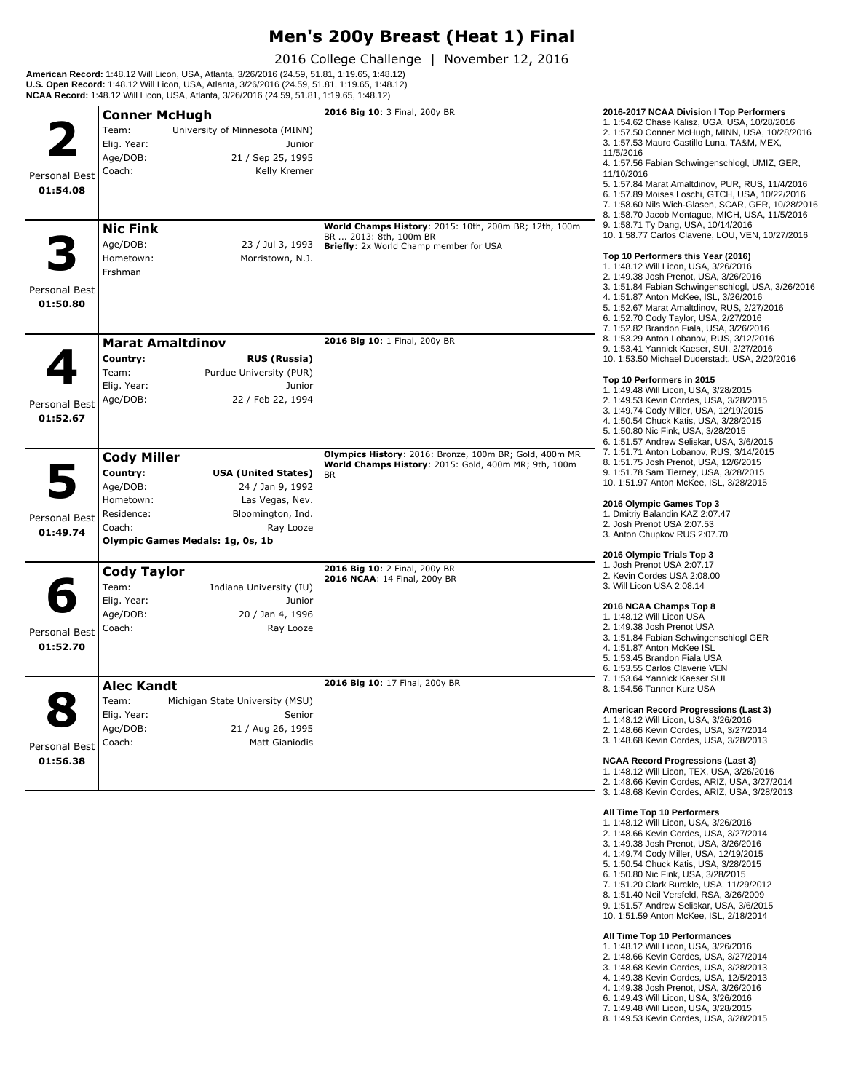#### **Men's 200y Breast (Heat 1) Final**

2016 College Challenge | November 12, 2016

**American Record:** 1:48.12 Will Licon, USA, Atlanta, 3/26/2016 (24.59, 51.81, 1:19.65, 1:48.12) **U.S. Open Record:** 1:48.12 Will Licon, USA, Atlanta, 3/26/2016 (24.59, 51.81, 1:19.65, 1:48.12) **NCAA Record:** 1:48.12 Will Licon, USA, Atlanta, 3/26/2016 (24.59, 51.81, 1:19.65, 1:48.12)

|                           | <b>Conner McHugh</b>                                                                                                                                                                                                       | 2016 Big 10: 3 Final, 200y BR                                    | 2016-2017 NCAA Division I Top Performers                                                                                                                                                                                                                                                                                                                                                                                                                                           |
|---------------------------|----------------------------------------------------------------------------------------------------------------------------------------------------------------------------------------------------------------------------|------------------------------------------------------------------|------------------------------------------------------------------------------------------------------------------------------------------------------------------------------------------------------------------------------------------------------------------------------------------------------------------------------------------------------------------------------------------------------------------------------------------------------------------------------------|
| Personal Best<br>01:54.08 | Team:<br>University of Minnesota (MINN)<br>Elig. Year:<br>Junior<br>Age/DOB:<br>21 / Sep 25, 1995<br>Coach:<br>Kelly Kremer                                                                                                | World Champs History: 2015: 10th, 200m BR; 12th, 100m            | 1. 1:54.62 Chase Kalisz, UGA, USA, 10/28/2016<br>2. 1:57.50 Conner McHugh, MINN, USA, 10/28/2016<br>3. 1:57.53 Mauro Castillo Luna, TA&M, MEX,<br>11/5/2016<br>4. 1:57.56 Fabian Schwingenschlogl, UMIZ, GER,<br>11/10/2016<br>5. 1:57.84 Marat Amaltdinov, PUR, RUS, 11/4/2016<br>6. 1:57.89 Moises Loschi, GTCH, USA, 10/22/2016<br>7. 1:58.60 Nils Wich-Glasen, SCAR, GER, 10/28/2016<br>8. 1:58.70 Jacob Montaque, MICH, USA, 11/5/2016<br>9. 1:58.71 Ty Dang, USA, 10/14/2016 |
| Personal Best<br>01:50.80 | <b>Nic Fink</b><br>Age/DOB:<br>23 / Jul 3, 1993<br>Hometown:<br>Morristown, N.J.<br>Frshman                                                                                                                                | BR  2013: 8th, 100m BR<br>Briefly: 2x World Champ member for USA | 10. 1:58.77 Carlos Claverie, LOU, VEN, 10/27/2016<br>Top 10 Performers this Year (2016)<br>1. 1:48.12 Will Licon, USA, 3/26/2016<br>2. 1:49.38 Josh Prenot. USA. 3/26/2016<br>3. 1:51.84 Fabian Schwingenschlogl, USA, 3/26/2016<br>4. 1:51.87 Anton McKee, ISL, 3/26/2016<br>5. 1:52.67 Marat Amaltdinov, RUS, 2/27/2016<br>6. 1:52.70 Cody Taylor, USA, 2/27/2016<br>7. 1:52.82 Brandon Fiala, USA, 3/26/2016                                                                    |
|                           | <b>Marat Amaltdinov</b>                                                                                                                                                                                                    | 2016 Big 10: 1 Final, 200y BR                                    | 8. 1:53.29 Anton Lobanov, RUS, 3/12/2016<br>9. 1:53.41 Yannick Kaeser, SUI, 2/27/2016                                                                                                                                                                                                                                                                                                                                                                                              |
| Personal Best<br>01:52.67 | Country:<br><b>RUS (Russia)</b><br>Team:<br>Purdue University (PUR)<br>Elig. Year:<br>Junior<br>Age/DOB:<br>22 / Feb 22, 1994                                                                                              | Olympics History: 2016: Bronze, 100m BR; Gold, 400m MR           | 10. 1:53.50 Michael Duderstadt, USA, 2/20/2016<br>Top 10 Performers in 2015<br>1. 1:49.48 Will Licon, USA, 3/28/2015<br>2. 1:49.53 Kevin Cordes, USA, 3/28/2015<br>3. 1:49.74 Cody Miller, USA, 12/19/2015<br>4. 1:50.54 Chuck Katis, USA, 3/28/2015<br>5. 1:50.80 Nic Fink, USA, 3/28/2015<br>6. 1:51.57 Andrew Seliskar, USA, 3/6/2015<br>7. 1:51.71 Anton Lobanov, RUS, 3/14/2015                                                                                               |
| Personal Best<br>01:49.74 | <b>Cody Miller</b><br>Country:<br><b>USA (United States)</b><br>Age/DOB:<br>24 / Jan 9, 1992<br>Hometown:<br>Las Vegas, Nev.<br>Residence:<br>Bloomington, Ind.<br>Coach:<br>Ray Looze<br>Olympic Games Medals: 1g, 0s, 1b | World Champs History: 2015: Gold, 400m MR; 9th, 100m             | 8. 1:51.75 Josh Prenot, USA, 12/6/2015<br>9. 1:51.78 Sam Tierney, USA, 3/28/2015<br>10. 1:51.97 Anton McKee, ISL, 3/28/2015<br>2016 Olympic Games Top 3<br>1. Dmitriy Balandin KAZ 2:07.47<br>2. Josh Prenot USA 2:07.53<br>3. Anton Chupkov RUS 2:07.70                                                                                                                                                                                                                           |
| Personal Best<br>01:52.70 | <b>Cody Taylor</b><br>Team:<br>Indiana University (IU)<br>Elig. Year:<br>Junior<br>Age/DOB:<br>20 / Jan 4, 1996<br>Coach:<br>Ray Looze                                                                                     | 2016 Big 10: 2 Final, 200y BR<br>2016 NCAA: 14 Final, 200y BR    | 2016 Olympic Trials Top 3<br>1. Josh Prenot USA 2:07.17<br>2. Kevin Cordes USA 2:08.00<br>3. Will Licon USA 2:08.14<br>2016 NCAA Champs Top 8<br>1. 1:48.12 Will Licon USA<br>2. 1:49.38 Josh Prenot USA<br>3. 1:51.84 Fabian Schwingenschlogl GER<br>4. 1:51.87 Anton McKee ISL<br>5. 1:53.45 Brandon Fiala USA<br>6. 1:53.55 Carlos Claverie VEN                                                                                                                                 |
| Personal Best<br>01:56.38 | <b>Alec Kandt</b><br>Team:<br>Michigan State University (MSU)<br>Elig. Year:<br>Senior<br>Age/DOB:<br>21 / Aug 26, 1995<br>Coach:<br><b>Matt Gianiodis</b>                                                                 | 2016 Big 10: 17 Final, 200y BR                                   | 7. 1:53.64 Yannick Kaeser SUI<br>8. 1:54.56 Tanner Kurz USA<br>American Record Progressions (Last 3)<br>1. 1:48.12 Will Licon, USA, 3/26/2016<br>2. 1:48.66 Kevin Cordes, USA, 3/27/2014<br>3. 1:48.68 Kevin Cordes, USA, 3/28/2013<br><b>NCAA Record Progressions (Last 3)</b><br>1. 1:48.12 Will Licon, TEX, USA, 3/26/2016<br>2. 1:48.66 Kevin Cordes, ARIZ, USA, 3/27/2014<br>3. 1:48.68 Kevin Cordes, ARIZ, USA, 3/28/2013                                                    |

- **All Time Top 10 Performers** 1. 1:48.12 Will Licon, USA, 3/26/2016
- 2. 1:48.66 Kevin Cordes, USA, 3/27/2014
- 3. 1:49.38 Josh Prenot, USA, 3/26/2016
- 
- 4. 1:49.74 Cody Miller, USA, 12/19/2015 5. 1:50.54 Chuck Katis, USA, 3/28/2015 6. 1:50.80 Nic Fink, USA, 3/28/2015
- 
- 7. 1:51.20 Clark Burckle, USA, 11/29/2012
- 8. 1:51.40 Neil Versfeld, RSA, 3/26/2009
- 9. 1:51.57 Andrew Seliskar, USA, 3/6/2015
- 10. 1:51.59 Anton McKee, ISL, 2/18/2014

#### **All Time Top 10 Performances** 1. 1:48.12 Will Licon, USA, 3/26/2016

- 
- 2. 1:48.66 Kevin Cordes, USA, 3/27/2014 3. 1:48.68 Kevin Cordes, USA, 3/28/2013 4. 1:49.38 Kevin Cordes, USA, 12/5/2013 4. 1:49.38 Josh Prenot, USA, 3/26/2016
- 
- 
- 6. 1:49.43 Will Licon, USA, 3/26/2016
- 7. 1:49.48 Will Licon, USA, 3/28/2015
- 8. 1:49.53 Kevin Cordes, USA, 3/28/2015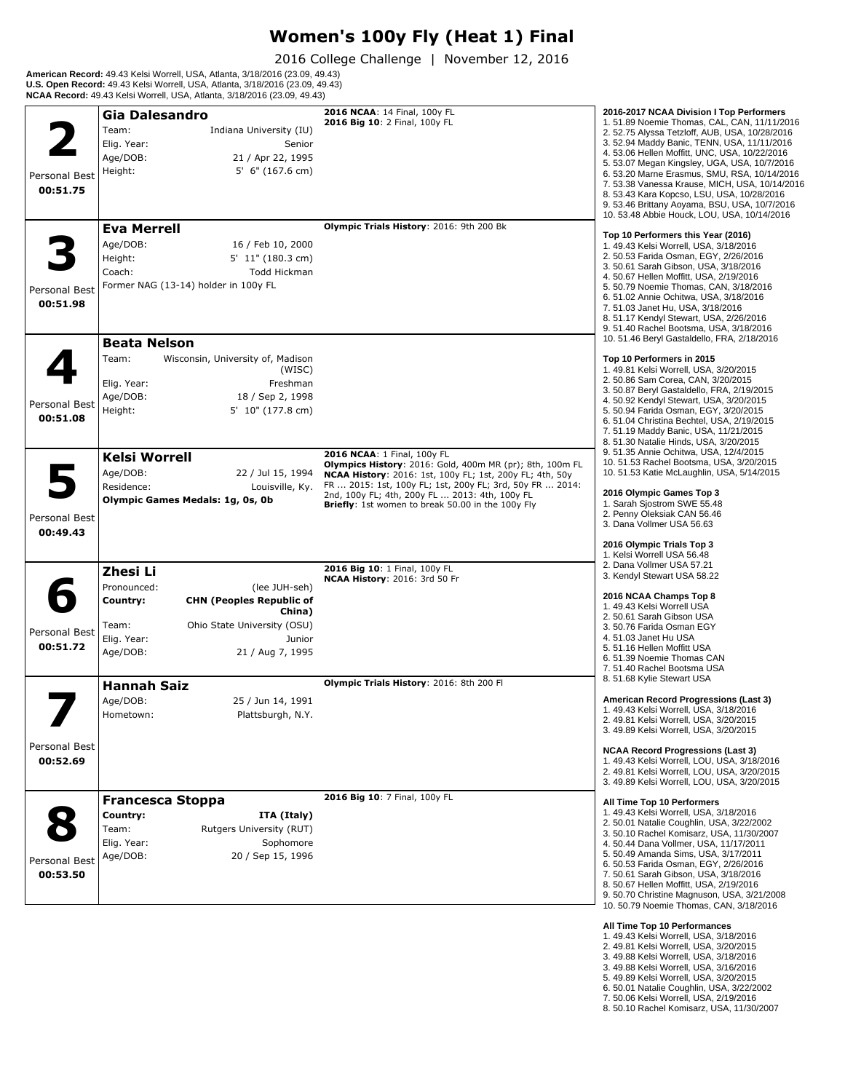#### **Women's 100y Fly (Heat 1) Final**

2016 College Challenge | November 12, 2016

**American Record:** 49.43 Kelsi Worrell, USA, Atlanta, 3/18/2016 (23.09, 49.43) **U.S. Open Record:** 49.43 Kelsi Worrell, USA, Atlanta, 3/18/2016 (23.09, 49.43) **NCAA Record:** 49.43 Kelsi Worrell, USA, Atlanta, 3/18/2016 (23.09, 49.43)

|                           | <b>Gia Dalesandro</b>                                                                                                                                                                              | 2016 NCAA: 14 Final, 100y FL                                                                                                                                                                                                                                                                                           | 2016-2017 NCAA Division I Top Performers                                                                                                                                                                                                                                                                                                                                                                                                                                                      |
|---------------------------|----------------------------------------------------------------------------------------------------------------------------------------------------------------------------------------------------|------------------------------------------------------------------------------------------------------------------------------------------------------------------------------------------------------------------------------------------------------------------------------------------------------------------------|-----------------------------------------------------------------------------------------------------------------------------------------------------------------------------------------------------------------------------------------------------------------------------------------------------------------------------------------------------------------------------------------------------------------------------------------------------------------------------------------------|
| Personal Best<br>00:51.75 | Team:<br>Indiana University (IU)<br>Elig. Year:<br>Senior<br>Age/DOB:<br>21 / Apr 22, 1995<br>Height:<br>$5'$ 6" (167.6 cm)                                                                        | 2016 Big 10: 2 Final, 100y FL                                                                                                                                                                                                                                                                                          | 1.51.89 Noemie Thomas, CAL, CAN, 11/11/2016<br>2. 52.75 Alyssa Tetzloff, AUB, USA, 10/28/2016<br>3. 52.94 Maddy Banic, TENN, USA, 11/11/2016<br>4. 53.06 Hellen Moffitt, UNC, USA, 10/22/2016<br>5. 53.07 Megan Kingsley, UGA, USA, 10/7/2016<br>6. 53.20 Marne Erasmus, SMU, RSA, 10/14/2016<br>7. 53.38 Vanessa Krause, MICH, USA, 10/14/2016<br>8. 53.43 Kara Kopcso, LSU, USA, 10/28/2016<br>9. 53.46 Brittany Aoyama, BSU, USA, 10/7/2016<br>10. 53.48 Abbie Houck, LOU, USA, 10/14/2016 |
| Personal Best<br>00:51.98 | <b>Eva Merrell</b><br>Age/DOB:<br>16 / Feb 10, 2000<br>Height:<br>5' 11" (180.3 cm)<br>Coach:<br><b>Todd Hickman</b><br>Former NAG (13-14) holder in 100y FL                                       | Olympic Trials History: 2016: 9th 200 Bk                                                                                                                                                                                                                                                                               | Top 10 Performers this Year (2016)<br>1. 49.43 Kelsi Worrell, USA, 3/18/2016<br>2. 50.53 Farida Osman, EGY, 2/26/2016<br>3. 50.61 Sarah Gibson, USA, 3/18/2016<br>4. 50.67 Hellen Moffitt, USA, 2/19/2016<br>5. 50.79 Noemie Thomas, CAN, 3/18/2016<br>6.51.02 Annie Ochitwa, USA, 3/18/2016<br>7.51.03 Janet Hu, USA, 3/18/2016<br>8. 51.17 Kendyl Stewart, USA, 2/26/2016<br>9.51.40 Rachel Bootsma, USA, 3/18/2016<br>10. 51.46 Beryl Gastaldello, FRA, 2/18/2016                          |
| Personal Best<br>00:51.08 | <b>Beata Nelson</b><br>Team:<br>Wisconsin, University of, Madison<br>(WISC)<br>Elig. Year:<br>Freshman<br>Age/DOB:<br>18 / Sep 2, 1998<br>Height:<br>5' 10" (177.8 cm)                             |                                                                                                                                                                                                                                                                                                                        | Top 10 Performers in 2015<br>1.49.81 Kelsi Worrell, USA, 3/20/2015<br>2.50.86 Sam Corea, CAN, 3/20/2015<br>3. 50.87 Beryl Gastaldello, FRA, 2/19/2015<br>4. 50.92 Kendyl Stewart, USA, 3/20/2015<br>5. 50.94 Farida Osman, EGY, 3/20/2015<br>6.51.04 Christina Bechtel, USA, 2/19/2015<br>7.51.19 Maddy Banic, USA, 11/21/2015<br>8. 51.30 Natalie Hinds, USA, 3/20/2015                                                                                                                      |
| Personal Best<br>00:49.43 | <b>Kelsi Worrell</b><br>Age/DOB:<br>22 / Jul 15, 1994<br>Residence:<br>Louisville, Ky.<br>Olympic Games Medals: 1g, 0s, 0b                                                                         | 2016 NCAA: 1 Final, 100y FL<br>Olympics History: 2016: Gold, 400m MR (pr); 8th, 100m FL<br>NCAA History: 2016: 1st, 100y FL; 1st, 200y FL; 4th, 50y<br>FR  2015: 1st, 100y FL; 1st, 200y FL; 3rd, 50y FR  2014:<br>2nd, 100y FL; 4th, 200y FL  2013: 4th, 100y FL<br>Briefly: 1st women to break 50.00 in the 100y Fly | 9.51.35 Annie Ochitwa, USA, 12/4/2015<br>10.51.53 Rachel Bootsma, USA, 3/20/2015<br>10. 51.53 Katie McLaughlin, USA, 5/14/2015<br>2016 Olympic Games Top 3<br>1. Sarah Sjostrom SWE 55.48<br>2. Penny Oleksiak CAN 56.46<br>3. Dana Vollmer USA 56.63<br>2016 Olympic Trials Top 3                                                                                                                                                                                                            |
| Personal Best<br>00:51.72 | Zhesi Li<br>Pronounced:<br>(lee JUH-seh)<br>Country:<br><b>CHN (Peoples Republic of</b><br>China)<br>Ohio State University (OSU)<br>Team:<br>Elig. Year:<br>Junior<br>Age/DOB:<br>21 / Aug 7, 1995 | 2016 Big 10: 1 Final, 100y FL<br><b>NCAA History: 2016: 3rd 50 Fr</b>                                                                                                                                                                                                                                                  | 1. Kelsi Worrell USA 56.48<br>2. Dana Vollmer USA 57.21<br>3. Kendyl Stewart USA 58.22<br>2016 NCAA Champs Top 8<br>1.49.43 Kelsi Worrell USA<br>2.50.61 Sarah Gibson USA<br>3.50.76 Farida Osman EGY<br>4.51.03 Janet Hu USA<br>5.51.16 Hellen Moffitt USA<br>6.51.39 Noemie Thomas CAN<br>7.51.40 Rachel Bootsma USA                                                                                                                                                                        |
|                           | <b>Hannah Saiz</b><br>Age/DOB:<br>25 / Jun 14, 1991<br>Hometown:<br>Plattsburgh, N.Y.                                                                                                              | Olympic Trials History: 2016: 8th 200 Fl                                                                                                                                                                                                                                                                               | 8.51.68 Kylie Stewart USA<br>American Record Progressions (Last 3)<br>1.49.43 Kelsi Worrell, USA, 3/18/2016<br>2.49.81 Kelsi Worrell, USA, 3/20/2015<br>3. 49.89 Kelsi Worrell, USA, 3/20/2015                                                                                                                                                                                                                                                                                                |
| Personal Best<br>00:52.69 |                                                                                                                                                                                                    |                                                                                                                                                                                                                                                                                                                        | <b>NCAA Record Progressions (Last 3)</b><br>1. 49.43 Kelsi Worrell, LOU, USA, 3/18/2016<br>2. 49.81 Kelsi Worrell, LOU, USA, 3/20/2015<br>3. 49.89 Kelsi Worrell, LOU, USA, 3/20/2015                                                                                                                                                                                                                                                                                                         |
| Personal Best<br>00:53.50 | <b>Francesca Stoppa</b><br>Country:<br>ITA (Italy)<br>Team:<br>Rutgers University (RUT)<br>Elig. Year:<br>Sophomore<br>Age/DOB:<br>20 / Sep 15, 1996                                               | 2016 Big 10: 7 Final, 100y FL                                                                                                                                                                                                                                                                                          | All Time Top 10 Performers<br>1. 49.43 Kelsi Worrell, USA, 3/18/2016<br>2. 50.01 Natalie Coughlin, USA, 3/22/2002<br>3.50.10 Rachel Komisarz, USA, 11/30/2007<br>4.50.44 Dana Vollmer, USA, 11/17/2011<br>5.50.49 Amanda Sims, USA, 3/17/2011<br>6. 50.53 Farida Osman, EGY, 2/26/2016<br>7.50.61 Sarah Gibson, USA, 3/18/2016<br>8. 50.67 Hellen Moffitt, USA, 2/19/2016<br>9. 50.70 Christine Magnuson, USA, 3/21/2008<br>10. 50.79 Noemie Thomas, CAN, 3/18/2016                           |

- **All Time Top 10 Performances**<br>1. 49.43 Kelsi Worrell, USA, 3/18/2016<br>2. 49.81 Kelsi Worrell, USA, 3/20/2015<br>3. 49.88 Kelsi Worrell, USA, 3/18/2016<br>3. 49.88 Kelsi Worrell, USA, 3/16/2016<br>5. 49.89 Kelsi Worrell, USA, 3/20/2
- 
- 
- 
- 
- 
- 8. 50.10 Rachel Komisarz, USA, 11/30/2007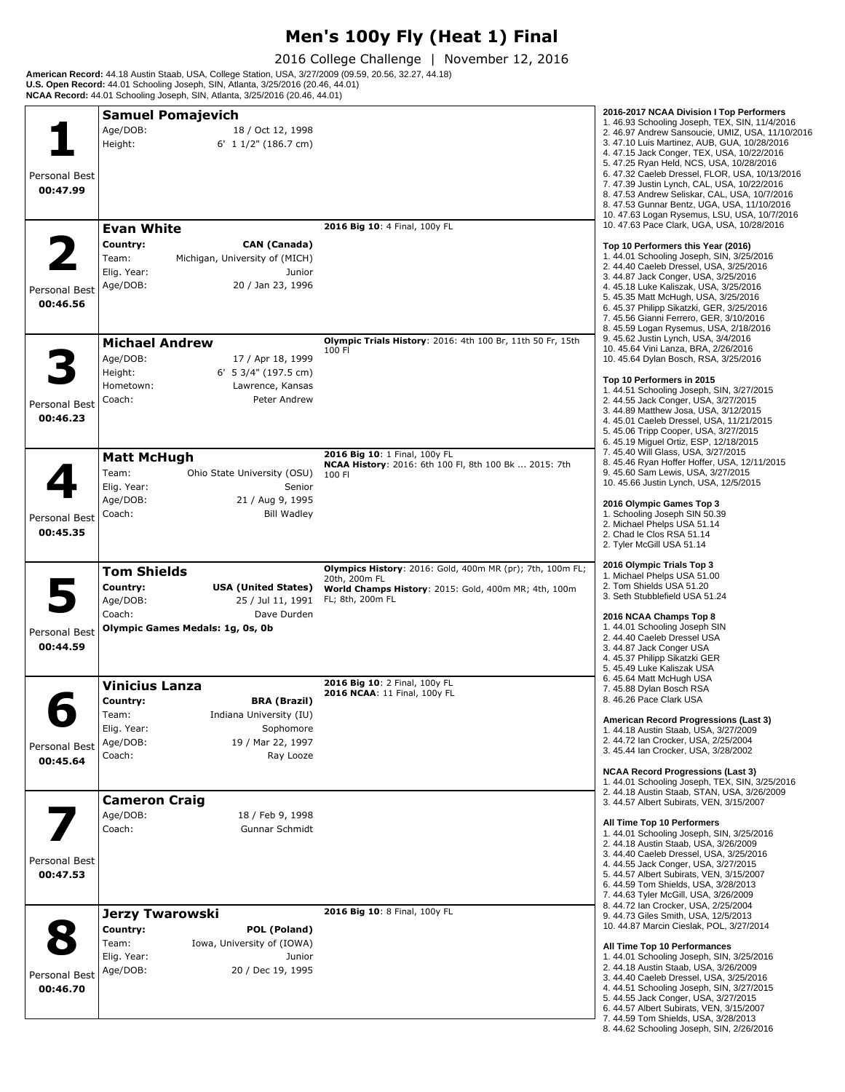# **Men's 100y Fly (Heat 1) Final**

2016 College Challenge | November 12, 2016

**American Record:** 44.18 Austin Staab, USA, College Station, USA, 3/27/2009 (09.59, 20.56, 32.27, 44.18)<br>**U.S. Open Record:** 44.01 Schooling Joseph, SIN, Atlanta, 3/25/2016 (20.46, 44.01)<br>**NCAA Record:** 44.01 Schooling Jos

|               | <b>Samuel Pomajevich</b>                                                |                                                                                        | 2016-2017 NCAA Division I Top Performers<br>1.46.93 Schooling Joseph, TEX, SIN, 11/4/2016       |
|---------------|-------------------------------------------------------------------------|----------------------------------------------------------------------------------------|-------------------------------------------------------------------------------------------------|
|               | Age/DOB:<br>18 / Oct 12, 1998<br>Height:<br>6' 1 1/2" (186.7 cm)        |                                                                                        | 2. 46.97 Andrew Sansoucie, UMIZ, USA, 11/10/2016<br>3.47.10 Luis Martinez, AUB, GUA, 10/28/2016 |
|               |                                                                         |                                                                                        | 4.47.15 Jack Conger, TEX, USA, 10/22/2016<br>5.47.25 Ryan Held, NCS, USA, 10/28/2016            |
| Personal Best |                                                                         |                                                                                        | 6.47.32 Caeleb Dressel, FLOR, USA, 10/13/2016<br>7.47.39 Justin Lynch, CAL, USA, 10/22/2016     |
| 00:47.99      |                                                                         |                                                                                        | 8. 47.53 Andrew Seliskar, CAL, USA, 10/7/2016<br>8.47.53 Gunnar Bentz, UGA, USA, 11/10/2016     |
|               | <b>Evan White</b>                                                       | 2016 Big 10: 4 Final, 100y FL                                                          | 10. 47.63 Logan Rysemus, LSU, USA, 10/7/2016<br>10. 47.63 Pace Clark, UGA, USA, 10/28/2016      |
|               | Country:<br><b>CAN</b> (Canada)                                         |                                                                                        | Top 10 Performers this Year (2016)                                                              |
|               | Team:<br>Michigan, University of (MICH)                                 |                                                                                        | 1.44.01 Schooling Joseph, SIN, 3/25/2016                                                        |
|               | Elig. Year:<br>Junior                                                   |                                                                                        | 2.44.40 Caeleb Dressel, USA, 3/25/2016<br>3. 44.87 Jack Conger, USA, 3/25/2016                  |
| Personal Best | Age/DOB:<br>20 / Jan 23, 1996                                           |                                                                                        | 4. 45.18 Luke Kaliszak, USA, 3/25/2016<br>5. 45.35 Matt McHugh, USA, 3/25/2016                  |
| 00:46.56      |                                                                         |                                                                                        | 6. 45.37 Philipp Sikatzki, GER, 3/25/2016<br>7. 45.56 Gianni Ferrero, GER, 3/10/2016            |
|               |                                                                         | Olympic Trials History: 2016: 4th 100 Br, 11th 50 Fr, 15th                             | 8.45.59 Logan Rysemus, USA, 2/18/2016<br>9. 45.62 Justin Lynch, USA, 3/4/2016                   |
|               | <b>Michael Andrew</b><br>Age/DOB:<br>17 / Apr 18, 1999                  | 100 FI                                                                                 | 10. 45.64 Vini Lanza, BRA, 2/26/2016                                                            |
|               | Height:<br>6' 5 3/4" (197.5 cm)                                         |                                                                                        | 10.45.64 Dylan Bosch, RSA, 3/25/2016                                                            |
|               | Hometown:<br>Lawrence, Kansas                                           |                                                                                        | Top 10 Performers in 2015<br>1. 44.51 Schooling Joseph, SIN, 3/27/2015                          |
| Personal Best | Coach:<br>Peter Andrew                                                  |                                                                                        | 2. 44.55 Jack Conger, USA, 3/27/2015<br>3. 44.89 Matthew Josa, USA, 3/12/2015                   |
| 00:46.23      |                                                                         |                                                                                        | 4. 45.01 Caeleb Dressel, USA, 11/21/2015<br>5.45.06 Tripp Cooper, USA, 3/27/2015                |
|               |                                                                         |                                                                                        | 6. 45.19 Miguel Ortiz, ESP, 12/18/2015<br>7. 45.40 Will Glass, USA, 3/27/2015                   |
|               | <b>Matt McHugh</b>                                                      | 2016 Big 10: 1 Final, 100y FL<br>NCAA History: 2016: 6th 100 Fl, 8th 100 Bk  2015: 7th | 8.45.46 Ryan Hoffer Hoffer, USA, 12/11/2015                                                     |
|               | Team:<br>Ohio State University (OSU)<br>Elig. Year:<br>Senior           | 100 FI                                                                                 | 9.45.60 Sam Lewis, USA, 3/27/2015<br>10. 45.66 Justin Lynch, USA, 12/5/2015                     |
|               | Age/DOB:<br>21 / Aug 9, 1995                                            |                                                                                        | 2016 Olympic Games Top 3                                                                        |
| Personal Best | Coach:<br><b>Bill Wadley</b>                                            |                                                                                        | 1. Schooling Joseph SIN 50.39<br>2. Michael Phelps USA 51.14                                    |
| 00:45.35      |                                                                         |                                                                                        | 2. Chad le Clos RSA 51.14<br>2. Tyler McGill USA 51.14                                          |
|               |                                                                         |                                                                                        |                                                                                                 |
|               | <b>Tom Shields</b>                                                      | Olympics History: 2016: Gold, 400m MR (pr); 7th, 100m FL;<br>20th, 200m FL             | 2016 Olympic Trials Top 3<br>1. Michael Phelps USA 51.00                                        |
|               | Country:<br><b>USA (United States)</b><br>Age/DOB:<br>25 / Jul 11, 1991 | World Champs History: 2015: Gold, 400m MR; 4th, 100m<br>FL; 8th, 200m FL               | 2. Tom Shields USA 51.20<br>3. Seth Stubblefield USA 51.24                                      |
|               | Coach:<br>Dave Durden                                                   |                                                                                        | 2016 NCAA Champs Top 8                                                                          |
| Personal Best | Olympic Games Medals: 1g, 0s, 0b                                        |                                                                                        | 1.44.01 Schooling Joseph SIN<br>2. 44.40 Caeleb Dressel USA                                     |
| 00:44.59      |                                                                         |                                                                                        | 3. 44.87 Jack Conger USA<br>4. 45.37 Philipp Sikatzki GER                                       |
|               |                                                                         |                                                                                        | 5. 45.49 Luke Kaliszak USA                                                                      |
|               | <b>Vinicius Lanza</b>                                                   | 2016 Big 10: 2 Final, 100y FL<br>2016 NCAA: 11 Final, 100y FL                          | 6.45.64 Matt McHugh USA<br>7.45.88 Dylan Bosch RSA                                              |
|               | Country:<br><b>BRA (Brazil)</b><br>Team:<br>Indiana University (IU)     |                                                                                        | 8. 46.26 Pace Clark USA                                                                         |
|               | Elig. Year:<br>Sophomore                                                |                                                                                        | American Record Progressions (Last 3)<br>1.44.18 Austin Staab, USA, 3/27/2009                   |
| Personal Best | Age/DOB:<br>19 / Mar 22, 1997                                           |                                                                                        | 2. 44.72 Ian Crocker, USA, 2/25/2004<br>3. 45.44 Ian Crocker, USA, 3/28/2002                    |
| 00:45.64      | Coach:<br>Ray Looze                                                     |                                                                                        |                                                                                                 |
|               |                                                                         |                                                                                        | <b>NCAA Record Progressions (Last 3)</b><br>1.44.01 Schooling Joseph, TEX, SIN, 3/25/2016       |
|               | <b>Cameron Craig</b>                                                    |                                                                                        | 2.44.18 Austin Staab, STAN, USA, 3/26/2009<br>3. 44.57 Albert Subirats, VEN, 3/15/2007          |
|               | Age/DOB:<br>18 / Feb 9, 1998<br>Coach:<br>Gunnar Schmidt                |                                                                                        | All Time Top 10 Performers                                                                      |
|               |                                                                         |                                                                                        | 1.44.01 Schooling Joseph, SIN, 3/25/2016<br>2. 44.18 Austin Staab, USA, 3/26/2009               |
| Personal Best |                                                                         |                                                                                        | 3.44.40 Caeleb Dressel, USA, 3/25/2016<br>4.44.55 Jack Conger, USA, 3/27/2015                   |
| 00:47.53      |                                                                         |                                                                                        | 5. 44.57 Albert Subirats, VEN, 3/15/2007                                                        |
|               |                                                                         |                                                                                        | 6. 44.59 Tom Shields, USA, 3/28/2013<br>7. 44.63 Tyler McGill, USA, 3/26/2009                   |
|               | <b>Jerzy Twarowski</b>                                                  | 2016 Big 10: 8 Final, 100y FL                                                          | 8. 44.72 Ian Crocker, USA, 2/25/2004<br>9. 44.73 Giles Smith, USA, 12/5/2013                    |
|               | Country:<br>POL (Poland)                                                |                                                                                        | 10. 44.87 Marcin Cieslak, POL, 3/27/2014                                                        |
|               | Team:<br>Iowa, University of (IOWA)<br>Elig. Year:<br>Junior            |                                                                                        | All Time Top 10 Performances<br>1.44.01 Schooling Joseph, SIN, 3/25/2016                        |
| Personal Best | Age/DOB:<br>20 / Dec 19, 1995                                           |                                                                                        | 2. 44.18 Austin Staab, USA, 3/26/2009                                                           |
| 00:46.70      |                                                                         |                                                                                        | 3.44.40 Caeleb Dressel, USA, 3/25/2016<br>4.44.51 Schooling Joseph, SIN, 3/27/2015              |
|               |                                                                         |                                                                                        | 5. 44.55 Jack Conger, USA, 3/27/2015<br>6. 44.57 Albert Subirats, VEN, 3/15/2007                |
|               |                                                                         |                                                                                        | 7. 44.59 Tom Shields, USA, 3/28/2013<br>8.44.62 Schooling Joseph, SIN, 2/26/2016                |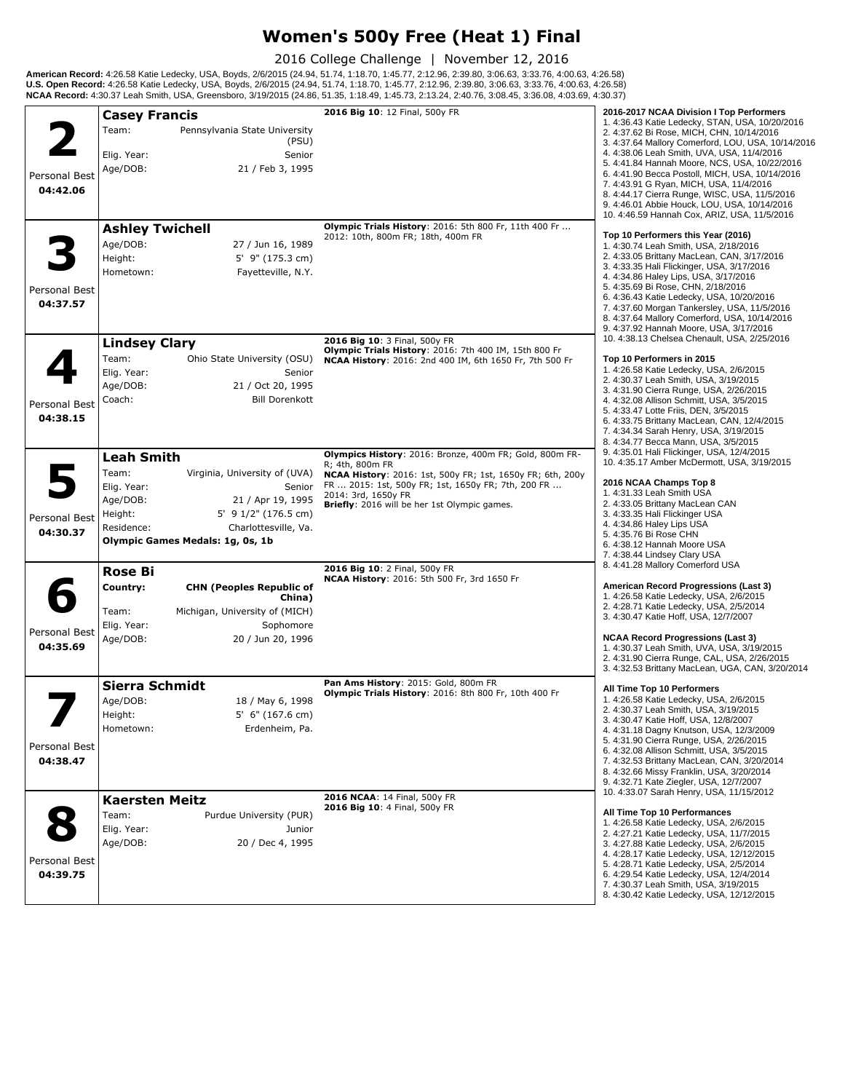#### **Women's 500y Free (Heat 1) Final**

2016 College Challenge | November 12, 2016

**American Record:** 4:26.58 Katie Ledecky, USA, Boyds, 2/6/2015 (24.94, 51.74, 1:18.70, 1:45.77, 2:12.96, 2:39.80, 3:06.63, 3:33.76, 4:00.63, 4:26.58)<br>**U.S. Open Record:** 4:26.58 Katie Ledecky, USA, Boyds, 2/6/2015 (24.94,

|                           | <b>Casey Francis</b>                                                                                                                                                                                                               | 2016 Big 10: 12 Final, 500y FR                                                                                                                                                                                                                                        | 2016-2017 NCAA Division I Top Performers                                                                                                                                                                                                                                                                                                                                                                                                                                                         |
|---------------------------|------------------------------------------------------------------------------------------------------------------------------------------------------------------------------------------------------------------------------------|-----------------------------------------------------------------------------------------------------------------------------------------------------------------------------------------------------------------------------------------------------------------------|--------------------------------------------------------------------------------------------------------------------------------------------------------------------------------------------------------------------------------------------------------------------------------------------------------------------------------------------------------------------------------------------------------------------------------------------------------------------------------------------------|
| Personal Best<br>04:42.06 | Team:<br>Pennsylvania State University<br>(PSU)<br>Elig. Year:<br>Senior<br>Age/DOB:<br>21 / Feb 3, 1995                                                                                                                           |                                                                                                                                                                                                                                                                       | 1. 4:36.43 Katie Ledecky, STAN, USA, 10/20/2016<br>2. 4:37.62 Bi Rose, MICH, CHN, 10/14/2016<br>3. 4:37.64 Mallory Comerford, LOU, USA, 10/14/2016<br>4. 4:38.06 Leah Smith, UVA, USA, 11/4/2016<br>5. 4:41.84 Hannah Moore, NCS, USA, 10/22/2016<br>6. 4:41.90 Becca Postoll, MICH, USA, 10/14/2016<br>7. 4:43.91 G Ryan, MICH, USA, 11/4/2016<br>8. 4:44.17 Cierra Runge, WISC, USA, 11/5/2016<br>9. 4:46.01 Abbie Houck, LOU, USA, 10/14/2016<br>10. 4:46.59 Hannah Cox, ARIZ, USA, 11/5/2016 |
| Personal Best<br>04:37.57 | <b>Ashley Twichell</b><br>Age/DOB:<br>27 / Jun 16, 1989<br>Height:<br>5' 9" (175.3 cm)<br>Fayetteville, N.Y.<br>Hometown:                                                                                                          | Olympic Trials History: 2016: 5th 800 Fr, 11th 400 Fr<br>2012: 10th, 800m FR; 18th, 400m FR                                                                                                                                                                           | Top 10 Performers this Year (2016)<br>1.4:30.74 Leah Smith, USA, 2/18/2016<br>2. 4:33.05 Brittany MacLean, CAN, 3/17/2016<br>3. 4:33.35 Hali Flickinger, USA, 3/17/2016<br>4.4:34.86 Haley Lips, USA, 3/17/2016<br>5. 4:35.69 Bi Rose, CHN, 2/18/2016<br>6. 4:36.43 Katie Ledecky, USA, 10/20/2016<br>7. 4:37.60 Morgan Tankersley, USA, 11/5/2016<br>8. 4:37.64 Mallory Comerford, USA, 10/14/2016<br>9. 4:37.92 Hannah Moore, USA, 3/17/2016                                                   |
| Personal Best<br>04:38.15 | <b>Lindsey Clary</b><br>Team:<br>Ohio State University (OSU)<br>Elig. Year:<br>Senior<br>Age/DOB:<br>21 / Oct 20, 1995<br>Coach:<br><b>Bill Dorenkott</b>                                                                          | 2016 Big 10: 3 Final, 500y FR<br>Olympic Trials History: 2016: 7th 400 IM, 15th 800 Fr<br>NCAA History: 2016: 2nd 400 IM, 6th 1650 Fr, 7th 500 Fr                                                                                                                     | 10. 4:38.13 Chelsea Chenault, USA, 2/25/2016<br>Top 10 Performers in 2015<br>1. 4:26.58 Katie Ledecky, USA, 2/6/2015<br>2. 4:30.37 Leah Smith, USA, 3/19/2015<br>3. 4:31.90 Cierra Runge, USA, 2/26/2015<br>4. 4:32.08 Allison Schmitt, USA, 3/5/2015<br>5. 4:33.47 Lotte Friis, DEN, 3/5/2015<br>6. 4:33.75 Brittany MacLean, CAN, 12/4/2015<br>7. 4:34.34 Sarah Henry, USA, 3/19/2015<br>8. 4:34.77 Becca Mann, USA, 3/5/2015                                                                  |
| Personal Best<br>04:30.37 | <b>Leah Smith</b><br>Team:<br>Virginia, University of (UVA)<br>Elig. Year:<br>Senior<br>Age/DOB:<br>21 / Apr 19, 1995<br>5' 9 1/2" (176.5 cm)<br>Height:<br>Residence:<br>Charlottesville, Va.<br>Olympic Games Medals: 1g, 0s, 1b | Olympics History: 2016: Bronze, 400m FR; Gold, 800m FR-<br>R: 4th, 800m FR<br>NCAA History: 2016: 1st, 500y FR; 1st, 1650y FR; 6th, 200y<br>FR  2015: 1st, 500y FR; 1st, 1650y FR; 7th, 200 FR<br>2014: 3rd, 1650y FR<br>Briefly: 2016 will be her 1st Olympic games. | 9. 4:35.01 Hali Flickinger, USA, 12/4/2015<br>10. 4:35.17 Amber McDermott, USA, 3/19/2015<br>2016 NCAA Champs Top 8<br>1.4:31.33 Leah Smith USA<br>2. 4:33.05 Brittany MacLean CAN<br>3. 4:33.35 Hali Flickinger USA<br>4.4:34.86 Haley Lips USA<br>5.4:35.76 Bi Rose CHN<br>6. 4:38.12 Hannah Moore USA<br>7. 4:38.44 Lindsey Clary USA                                                                                                                                                         |
| Personal Best<br>04:35.69 | <b>Rose Bi</b><br>Country:<br><b>CHN (Peoples Republic of</b><br>China)<br>Team:<br>Michigan, University of (MICH)<br>Elig. Year:<br>Sophomore<br>Age/DOB:<br>20 / Jun 20, 1996                                                    | 2016 Big 10: 2 Final, 500y FR<br>NCAA History: 2016: 5th 500 Fr, 3rd 1650 Fr                                                                                                                                                                                          | 8. 4:41.28 Mallory Comerford USA<br>American Record Progressions (Last 3)<br>1. 4:26.58 Katie Ledecky, USA, 2/6/2015<br>2. 4:28.71 Katie Ledecky, USA, 2/5/2014<br>3. 4:30.47 Katie Hoff, USA, 12/7/2007<br><b>NCAA Record Progressions (Last 3)</b><br>1. 4:30.37 Leah Smith, UVA, USA, 3/19/2015<br>2. 4:31.90 Cierra Runge, CAL, USA, 2/26/2015<br>3. 4:32.53 Brittany MacLean, UGA, CAN, 3/20/2014                                                                                           |
| Personal Best<br>04:38.47 | Sierra Schmidt<br>Age/DOB:<br>18 / May 6, 1998<br>Height:<br>5' 6" (167.6 cm)<br>Hometown:<br>Erdenheim, Pa.                                                                                                                       | Pan Ams History: 2015: Gold, 800m FR<br>Olympic Trials History: 2016: 8th 800 Fr, 10th 400 Fr                                                                                                                                                                         | All Time Top 10 Performers<br>1. 4:26.58 Katie Ledecky, USA, 2/6/2015<br>2. 4:30.37 Leah Smith, USA, 3/19/2015<br>3. 4:30.47 Katie Hoff, USA, 12/8/2007<br>4. 4:31.18 Dagny Knutson, USA, 12/3/2009<br>5. 4:31.90 Cierra Runge, USA, 2/26/2015<br>6. 4:32.08 Allison Schmitt, USA, 3/5/2015<br>7. 4:32.53 Brittany MacLean, CAN, 3/20/2014<br>8. 4:32.66 Missy Franklin, USA, 3/20/2014<br>9. 4:32.71 Kate Ziegler, USA, 12/7/2007                                                               |
| Personal Best<br>04:39.75 | <b>Kaersten Meitz</b><br>Team:<br>Purdue University (PUR)<br>Elig. Year:<br>Junior<br>Age/DOB:<br>20 / Dec 4, 1995                                                                                                                 | 2016 NCAA: 14 Final, 500y FR<br>2016 Big 10: 4 Final, 500y FR                                                                                                                                                                                                         | 10. 4:33.07 Sarah Henry, USA, 11/15/2012<br>All Time Top 10 Performances<br>1. 4:26.58 Katie Ledecky, USA, 2/6/2015<br>2. 4:27.21 Katie Ledecky, USA, 11/7/2015<br>3. 4:27.88 Katie Ledecky, USA, 2/6/2015<br>4. 4:28.17 Katie Ledecky, USA, 12/12/2015<br>5. 4:28.71 Katie Ledecky, USA, 2/5/2014<br>6. 4:29.54 Katie Ledecky, USA, 12/4/2014<br>7. 4:30.37 Leah Smith, USA, 3/19/2015<br>8. 4:30.42 Katie Ledecky, USA, 12/12/2015                                                             |